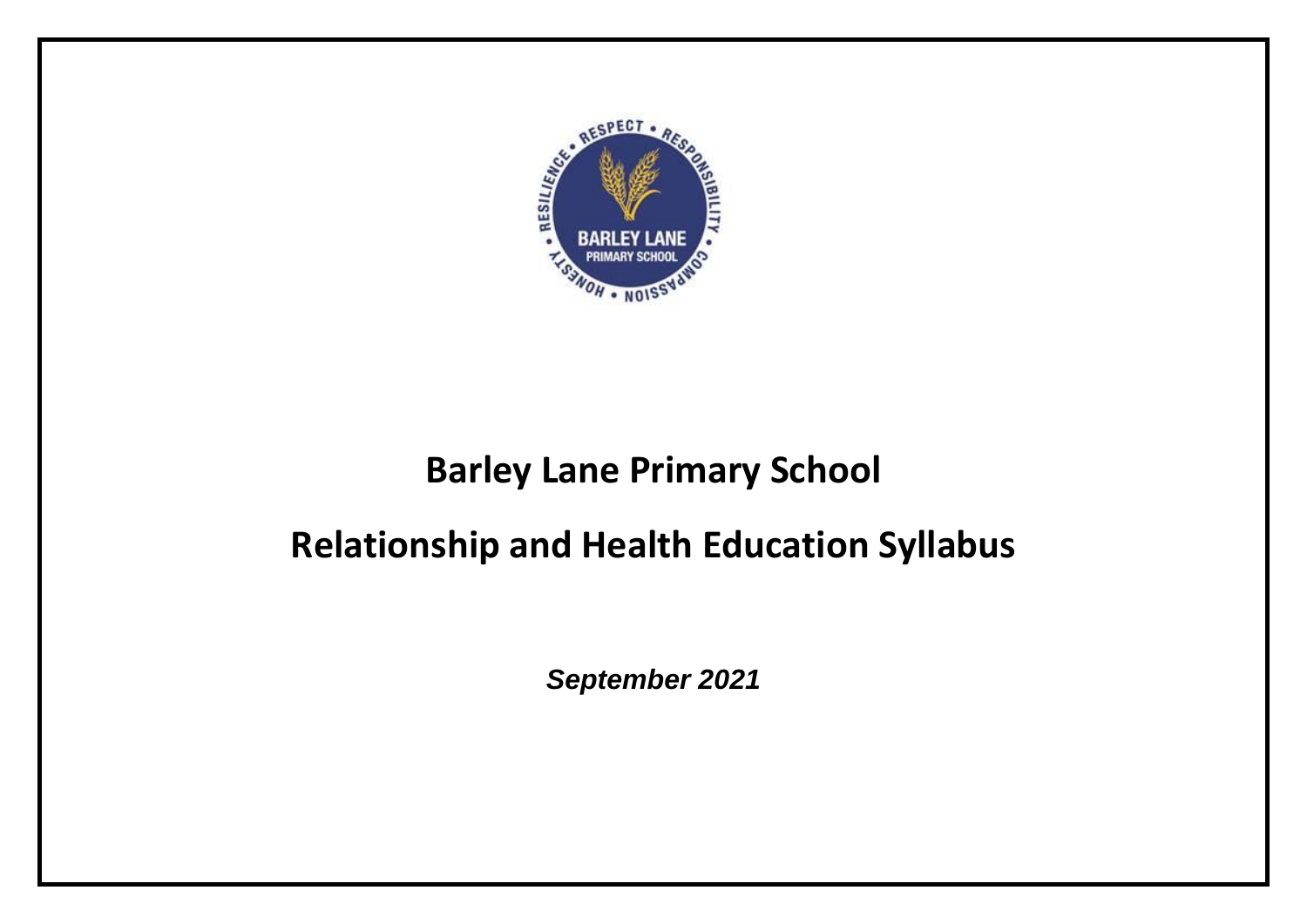

## **Barley Lane Primary School**

## **Relationship and Health Education Syllabus**

*September 2021*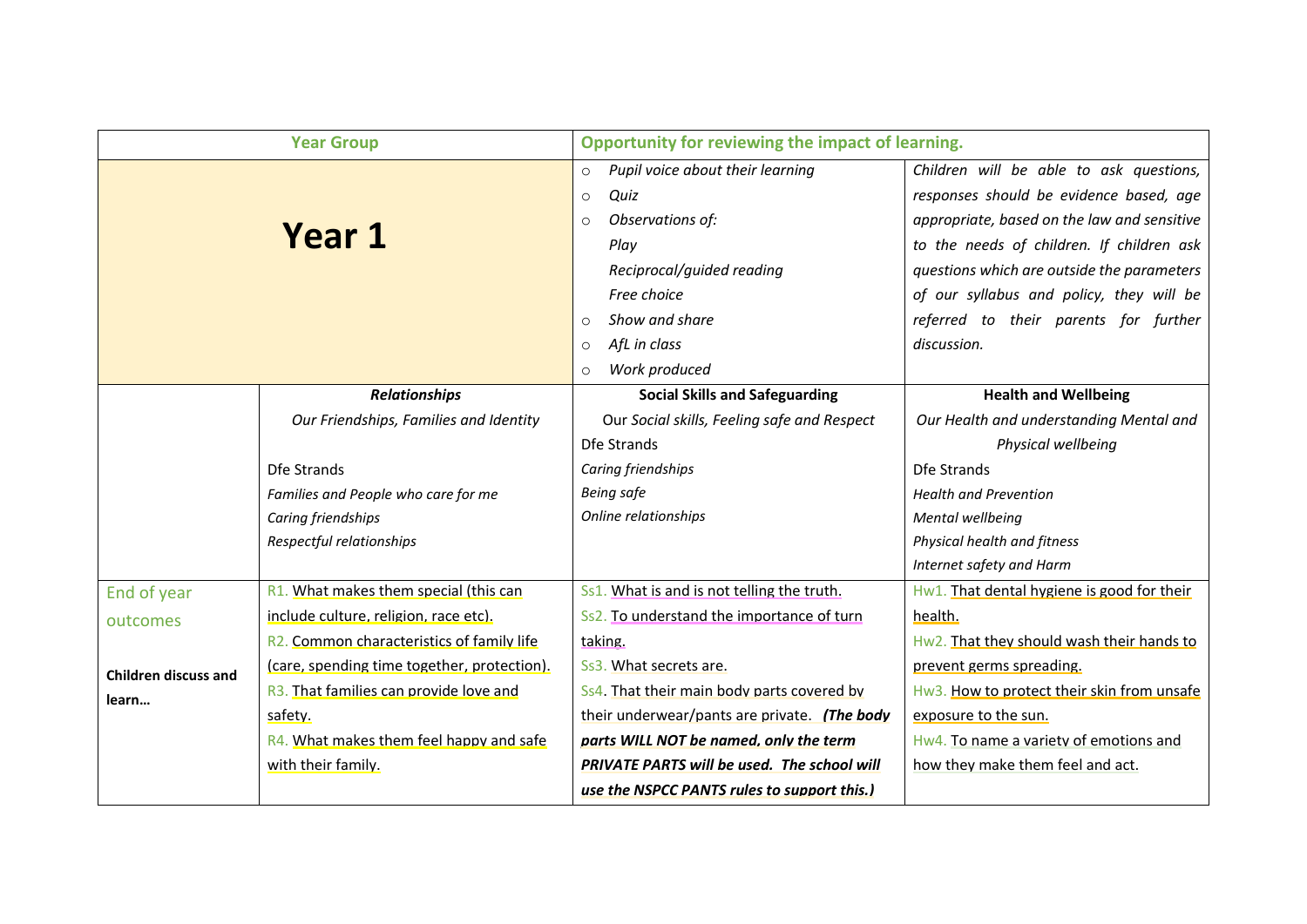|                                      | <b>Year Group</b>                                      | Opportunity for reviewing the impact of learning. |                                             |
|--------------------------------------|--------------------------------------------------------|---------------------------------------------------|---------------------------------------------|
|                                      |                                                        | Pupil voice about their learning<br>$\circ$       | Children will be able to ask questions,     |
|                                      |                                                        | Quiz<br>$\circ$                                   | responses should be evidence based, age     |
|                                      |                                                        | Observations of:<br>$\circ$                       | appropriate, based on the law and sensitive |
|                                      | <b>Year 1</b>                                          | Play                                              | to the needs of children. If children ask   |
|                                      |                                                        | Reciprocal/guided reading                         | questions which are outside the parameters  |
|                                      |                                                        | Free choice                                       | of our syllabus and policy, they will be    |
|                                      |                                                        | Show and share<br>$\circ$                         | referred to their parents for further       |
|                                      |                                                        | AfL in class<br>$\circ$                           | discussion.                                 |
|                                      |                                                        | Work produced<br>$\circ$                          |                                             |
|                                      | <b>Relationships</b>                                   | <b>Social Skills and Safeguarding</b>             | <b>Health and Wellbeing</b>                 |
|                                      | Our Friendships, Families and Identity                 | Our Social skills, Feeling safe and Respect       | Our Health and understanding Mental and     |
|                                      |                                                        | Dfe Strands                                       | Physical wellbeing                          |
|                                      | Dfe Strands                                            | Caring friendships                                | Dfe Strands                                 |
|                                      | Families and People who care for me                    | <b>Being safe</b>                                 | <b>Health and Prevention</b>                |
|                                      | Caring friendships                                     | Online relationships                              | Mental wellbeing                            |
|                                      | Respectful relationships                               |                                                   | Physical health and fitness                 |
|                                      |                                                        |                                                   | Internet safety and Harm                    |
| End of year                          | R1. What makes them special (this can                  | Ss1. What is and is not telling the truth.        | Hw1. That dental hygiene is good for their  |
| outcomes                             | include culture, religion, race etc).                  | Ss2. To understand the importance of turn         | health.                                     |
|                                      | R <sub>2</sub> . Common characteristics of family life | taking.                                           | Hw2. That they should wash their hands to   |
| <b>Children discuss and</b><br>learn | (care, spending time together, protection).            | Ss3. What secrets are.                            | prevent germs spreading.                    |
|                                      | R3. That families can provide love and                 | Ss4. That their main body parts covered by        | Hw3. How to protect their skin from unsafe  |
|                                      | safety.                                                | their underwear/pants are private. (The body      | exposure to the sun.                        |
|                                      | R4. What makes them feel happy and safe                | parts WILL NOT be named, only the term            | Hw4. To name a variety of emotions and      |
|                                      | with their family.                                     | PRIVATE PARTS will be used. The school will       | how they make them feel and act.            |
|                                      |                                                        | use the NSPCC PANTS rules to support this.)       |                                             |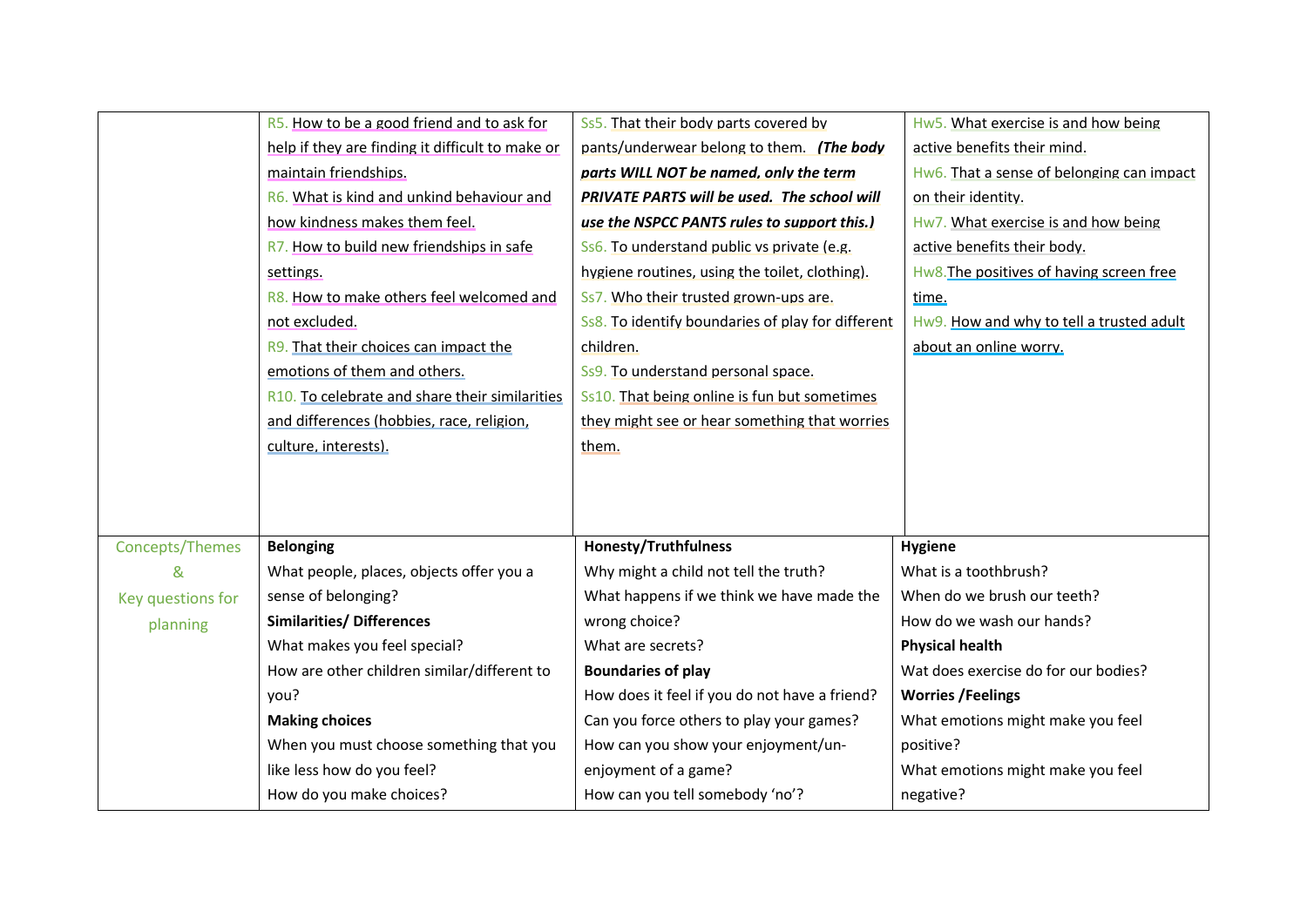|                   | R5. How to be a good friend and to ask for       | Ss5. That their body parts covered by             | Hw5. What exercise is and how being       |
|-------------------|--------------------------------------------------|---------------------------------------------------|-------------------------------------------|
|                   | help if they are finding it difficult to make or | pants/underwear belong to them. (The body         | active benefits their mind.               |
|                   | maintain friendships.                            | parts WILL NOT be named, only the term            | Hw6. That a sense of belonging can impact |
|                   | R6. What is kind and unkind behaviour and        | PRIVATE PARTS will be used. The school will       | on their identity.                        |
|                   | how kindness makes them feel.                    | use the NSPCC PANTS rules to support this.)       | Hw7. What exercise is and how being       |
|                   | R7. How to build new friendships in safe         | Ss6. To understand public vs private (e.g.        | active benefits their body.               |
|                   | settings.                                        | hygiene routines, using the toilet, clothing).    | Hw8. The positives of having screen free  |
|                   | R8. How to make others feel welcomed and         | Ss7. Who their trusted grown-ups are.             | time.                                     |
|                   | not excluded.                                    | Ss8. To identify boundaries of play for different | Hw9. How and why to tell a trusted adult  |
|                   | R9. That their choices can impact the            | children.                                         | about an online worry.                    |
|                   | emotions of them and others.                     | Ss9. To understand personal space.                |                                           |
|                   | R10. To celebrate and share their similarities   | Ss10. That being online is fun but sometimes      |                                           |
|                   | and differences (hobbies, race, religion,        | they might see or hear something that worries     |                                           |
|                   | culture, interests).                             | them.                                             |                                           |
|                   |                                                  |                                                   |                                           |
|                   |                                                  |                                                   |                                           |
|                   |                                                  |                                                   |                                           |
| Concepts/Themes   | <b>Belonging</b>                                 | <b>Honesty/Truthfulness</b>                       | <b>Hygiene</b>                            |
| &                 | What people, places, objects offer you a         | Why might a child not tell the truth?             | What is a toothbrush?                     |
| Key questions for | sense of belonging?                              | What happens if we think we have made the         | When do we brush our teeth?               |
| planning          | <b>Similarities/ Differences</b>                 | wrong choice?                                     | How do we wash our hands?                 |
|                   | What makes you feel special?                     | What are secrets?                                 | <b>Physical health</b>                    |
|                   | How are other children similar/different to      | <b>Boundaries of play</b>                         | Wat does exercise do for our bodies?      |
|                   | you?                                             | How does it feel if you do not have a friend?     | <b>Worries /Feelings</b>                  |
|                   | <b>Making choices</b>                            | Can you force others to play your games?          | What emotions might make you feel         |
|                   | When you must choose something that you          | How can you show your enjoyment/un-               | positive?                                 |
|                   | like less how do you feel?                       | enjoyment of a game?                              | What emotions might make you feel         |
|                   | How do you make choices?                         | How can you tell somebody 'no'?                   | negative?                                 |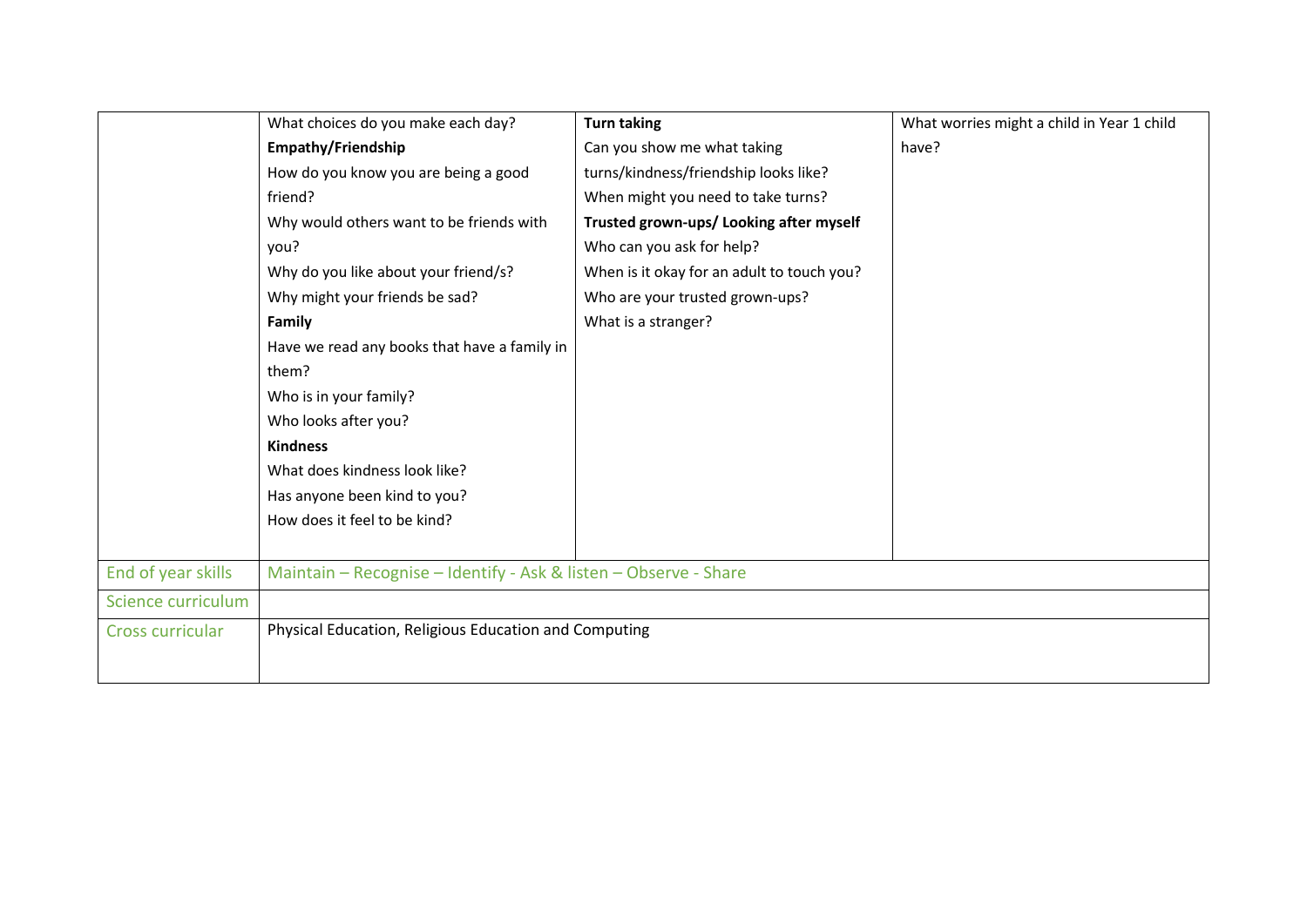|                    | What choices do you make each day?                               | <b>Turn taking</b>                         | What worries might a child in Year 1 child |
|--------------------|------------------------------------------------------------------|--------------------------------------------|--------------------------------------------|
|                    | <b>Empathy/Friendship</b>                                        | Can you show me what taking                | have?                                      |
|                    | How do you know you are being a good                             | turns/kindness/friendship looks like?      |                                            |
|                    | friend?                                                          | When might you need to take turns?         |                                            |
|                    | Why would others want to be friends with                         | Trusted grown-ups/ Looking after myself    |                                            |
|                    | you?                                                             | Who can you ask for help?                  |                                            |
|                    | Why do you like about your friend/s?                             | When is it okay for an adult to touch you? |                                            |
|                    | Why might your friends be sad?                                   | Who are your trusted grown-ups?            |                                            |
|                    | Family                                                           | What is a stranger?                        |                                            |
|                    | Have we read any books that have a family in                     |                                            |                                            |
|                    | them?                                                            |                                            |                                            |
|                    | Who is in your family?                                           |                                            |                                            |
|                    | Who looks after you?                                             |                                            |                                            |
|                    | <b>Kindness</b>                                                  |                                            |                                            |
|                    | What does kindness look like?                                    |                                            |                                            |
|                    | Has anyone been kind to you?                                     |                                            |                                            |
|                    | How does it feel to be kind?                                     |                                            |                                            |
|                    |                                                                  |                                            |                                            |
| End of year skills | Maintain - Recognise - Identify - Ask & listen - Observe - Share |                                            |                                            |
| Science curriculum |                                                                  |                                            |                                            |
| Cross curricular   | Physical Education, Religious Education and Computing            |                                            |                                            |
|                    |                                                                  |                                            |                                            |
|                    |                                                                  |                                            |                                            |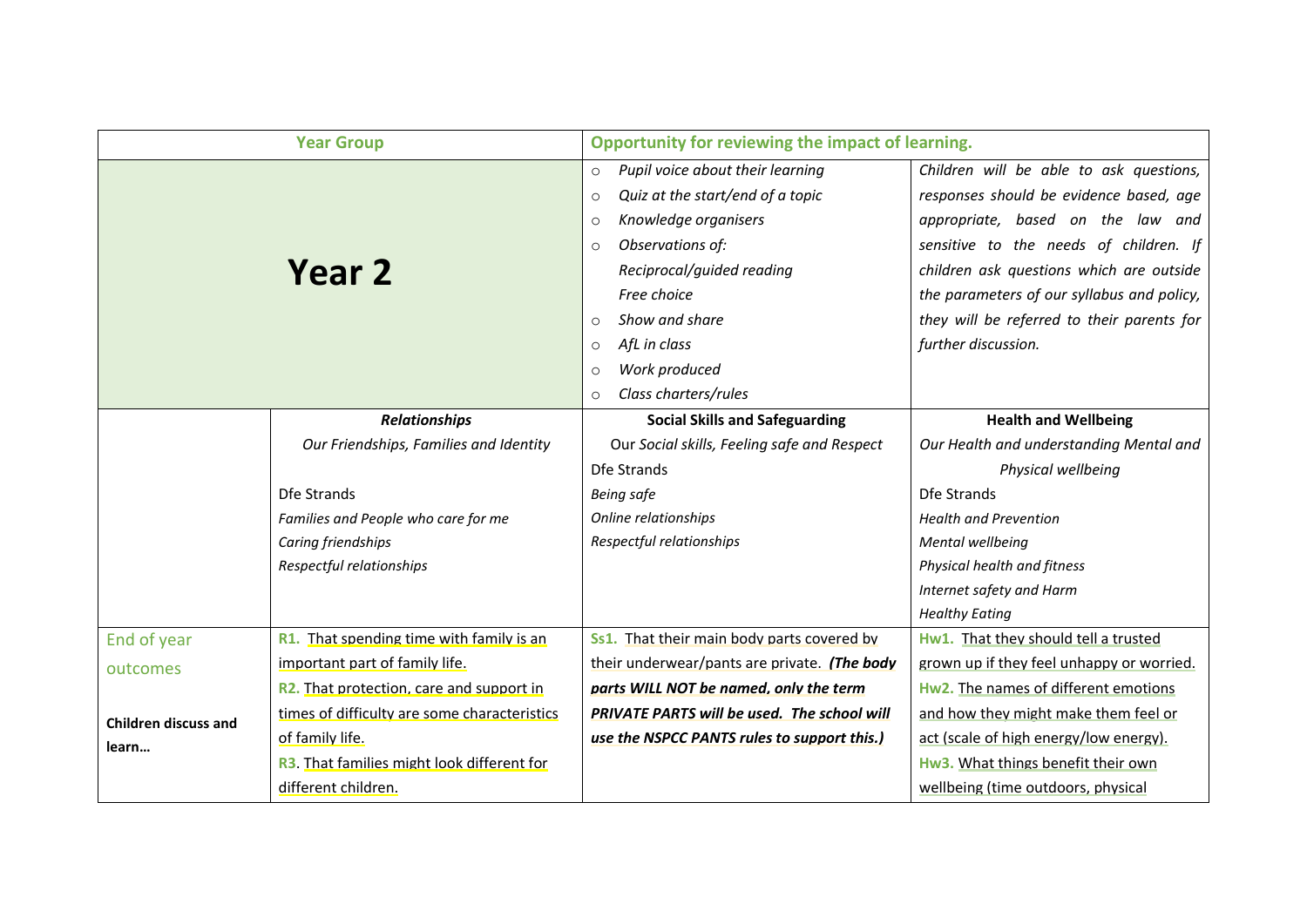|                                      | <b>Year Group</b>                            | Opportunity for reviewing the impact of learning. |                                            |
|--------------------------------------|----------------------------------------------|---------------------------------------------------|--------------------------------------------|
|                                      |                                              |                                                   |                                            |
|                                      |                                              | Pupil voice about their learning<br>$\circ$       | Children will be able to ask questions,    |
|                                      |                                              | Quiz at the start/end of a topic<br>$\circ$       | responses should be evidence based, age    |
|                                      |                                              | Knowledge organisers<br>$\circ$                   | appropriate, based on the law and          |
|                                      |                                              | Observations of:<br>$\circ$                       | sensitive to the needs of children. If     |
| Year 2                               |                                              | Reciprocal/guided reading                         | children ask questions which are outside   |
|                                      |                                              | Free choice                                       | the parameters of our syllabus and policy, |
|                                      |                                              | Show and share<br>$\Omega$                        | they will be referred to their parents for |
|                                      |                                              | AfL in class<br>$\circ$                           | further discussion.                        |
|                                      |                                              | Work produced<br>$\circ$                          |                                            |
|                                      |                                              | Class charters/rules<br>$\circ$                   |                                            |
|                                      | <b>Relationships</b>                         | <b>Social Skills and Safeguarding</b>             | <b>Health and Wellbeing</b>                |
|                                      | Our Friendships, Families and Identity       | Our Social skills, Feeling safe and Respect       | Our Health and understanding Mental and    |
|                                      |                                              | Dfe Strands                                       | Physical wellbeing                         |
|                                      | Dfe Strands                                  | Being safe                                        | Dfe Strands                                |
|                                      | Families and People who care for me          | Online relationships                              | <b>Health and Prevention</b>               |
|                                      | Caring friendships                           | Respectful relationships                          | Mental wellbeing                           |
|                                      | Respectful relationships                     |                                                   | Physical health and fitness                |
|                                      |                                              |                                                   | Internet safety and Harm                   |
|                                      |                                              |                                                   | <b>Healthy Eating</b>                      |
| End of year                          | R1. That spending time with family is an     | Ss1. That their main body parts covered by        | Hw1. That they should tell a trusted       |
| outcomes                             | important part of family life.               | their underwear/pants are private. (The body      | grown up if they feel unhappy or worried.  |
| <b>Children discuss and</b><br>learn | R2. That protection, care and support in     | parts WILL NOT be named, only the term            | Hw2. The names of different emotions       |
|                                      | times of difficulty are some characteristics | PRIVATE PARTS will be used. The school will       | and how they might make them feel or       |
|                                      | of family life.                              | use the NSPCC PANTS rules to support this.)       | act (scale of high energy/low energy).     |
|                                      | R3. That families might look different for   |                                                   | Hw3. What things benefit their own         |
|                                      | different children.                          |                                                   | wellbeing (time outdoors, physical         |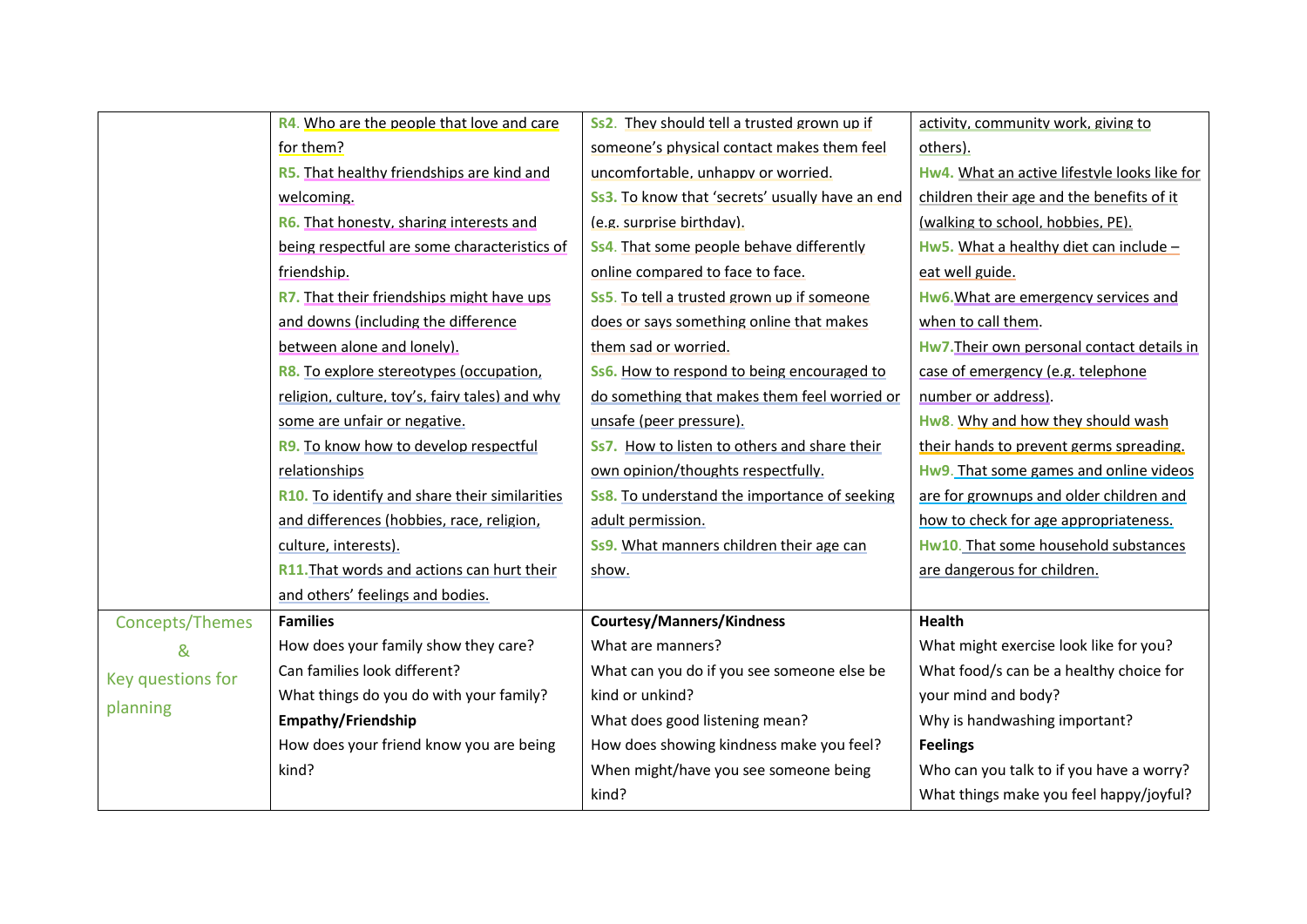|                   | R4. Who are the people that love and care         | Ss2. They should tell a trusted grown up if         | activity, community work, giving to          |
|-------------------|---------------------------------------------------|-----------------------------------------------------|----------------------------------------------|
|                   | for them?                                         | someone's physical contact makes them feel          | others).                                     |
|                   | R5. That healthy friendships are kind and         | uncomfortable, unhappy or worried.                  | Hw4. What an active lifestyle looks like for |
|                   | welcoming.                                        | Ss3. To know that 'secrets' usually have an end     | children their age and the benefits of it    |
|                   | R6. That honesty, sharing interests and           | (e.g. surprise birthday).                           | (walking to school, hobbies, PE).            |
|                   | being respectful are some characteristics of      | Ss4. That some people behave differently            | Hw5. What a healthy diet can include -       |
|                   | friendship.                                       | online compared to face to face.                    | eat well guide.                              |
|                   | R7. That their friendships might have ups         | Ss5. To tell a trusted grown up if someone          | Hw6. What are emergency services and         |
|                   | and downs (including the difference               | does or says something online that makes            | when to call them.                           |
|                   | between alone and lonely).                        | them sad or worried.                                | Hw7. Their own personal contact details in   |
|                   | R8. To explore stereotypes (occupation,           | Ss6. How to respond to being encouraged to          | case of emergency (e.g. telephone            |
|                   | religion, culture, toy's, fairy tales) and why    | do something that makes them feel worried or        | number or address).                          |
|                   | some are unfair or negative.                      | unsafe (peer pressure).                             | Hw8. Why and how they should wash            |
|                   | R9. To know how to develop respectful             | Ss7. How to listen to others and share their        | their hands to prevent germs spreading.      |
|                   | relationships                                     | own opinion/thoughts respectfully.                  | Hw9. That some games and online videos       |
|                   | R10. To identify and share their similarities     | <b>Ss8.</b> To understand the importance of seeking | are for grownups and older children and      |
|                   | and differences (hobbies, race, religion,         | adult permission.                                   | how to check for age appropriateness.        |
|                   | culture, interests).                              | Ss9. What manners children their age can            | Hw10. That some household substances         |
|                   | <b>R11.</b> That words and actions can hurt their | show.                                               | are dangerous for children.                  |
|                   | and others' feelings and bodies.                  |                                                     |                                              |
| Concepts/Themes   | <b>Families</b>                                   | <b>Courtesy/Manners/Kindness</b>                    | <b>Health</b>                                |
| &                 | How does your family show they care?              | What are manners?                                   | What might exercise look like for you?       |
| Key questions for | Can families look different?                      | What can you do if you see someone else be          | What food/s can be a healthy choice for      |
|                   | What things do you do with your family?           | kind or unkind?                                     | your mind and body?                          |
| planning          | Empathy/Friendship                                | What does good listening mean?                      | Why is handwashing important?                |
|                   | How does your friend know you are being           | How does showing kindness make you feel?            | <b>Feelings</b>                              |
|                   | kind?                                             | When might/have you see someone being               | Who can you talk to if you have a worry?     |
|                   |                                                   | kind?                                               | What things make you feel happy/joyful?      |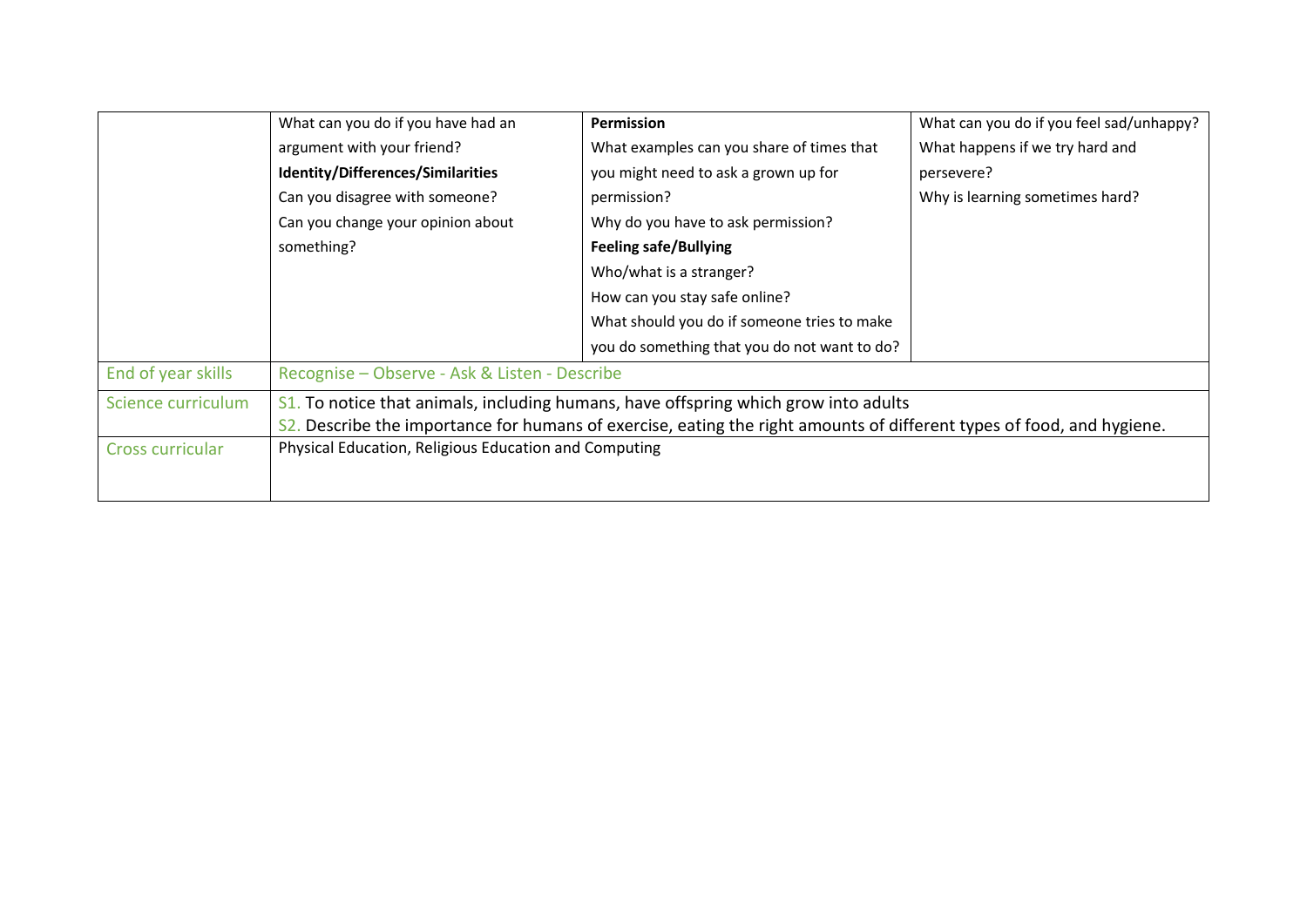|                    | What can you do if you have had an                                                                                    | <b>Permission</b>                                                                   | What can you do if you feel sad/unhappy? |  |
|--------------------|-----------------------------------------------------------------------------------------------------------------------|-------------------------------------------------------------------------------------|------------------------------------------|--|
|                    | argument with your friend?                                                                                            | What examples can you share of times that                                           | What happens if we try hard and          |  |
|                    | Identity/Differences/Similarities                                                                                     | you might need to ask a grown up for                                                | persevere?                               |  |
|                    | Can you disagree with someone?                                                                                        | permission?                                                                         | Why is learning sometimes hard?          |  |
|                    | Can you change your opinion about                                                                                     | Why do you have to ask permission?                                                  |                                          |  |
|                    | something?                                                                                                            | <b>Feeling safe/Bullying</b>                                                        |                                          |  |
|                    |                                                                                                                       | Who/what is a stranger?                                                             |                                          |  |
|                    |                                                                                                                       | How can you stay safe online?                                                       |                                          |  |
|                    |                                                                                                                       | What should you do if someone tries to make                                         |                                          |  |
|                    |                                                                                                                       | you do something that you do not want to do?                                        |                                          |  |
| End of year skills | Recognise - Observe - Ask & Listen - Describe                                                                         |                                                                                     |                                          |  |
| Science curriculum |                                                                                                                       | S1. To notice that animals, including humans, have offspring which grow into adults |                                          |  |
|                    | S2. Describe the importance for humans of exercise, eating the right amounts of different types of food, and hygiene. |                                                                                     |                                          |  |
| Cross curricular   | Physical Education, Religious Education and Computing                                                                 |                                                                                     |                                          |  |
|                    |                                                                                                                       |                                                                                     |                                          |  |
|                    |                                                                                                                       |                                                                                     |                                          |  |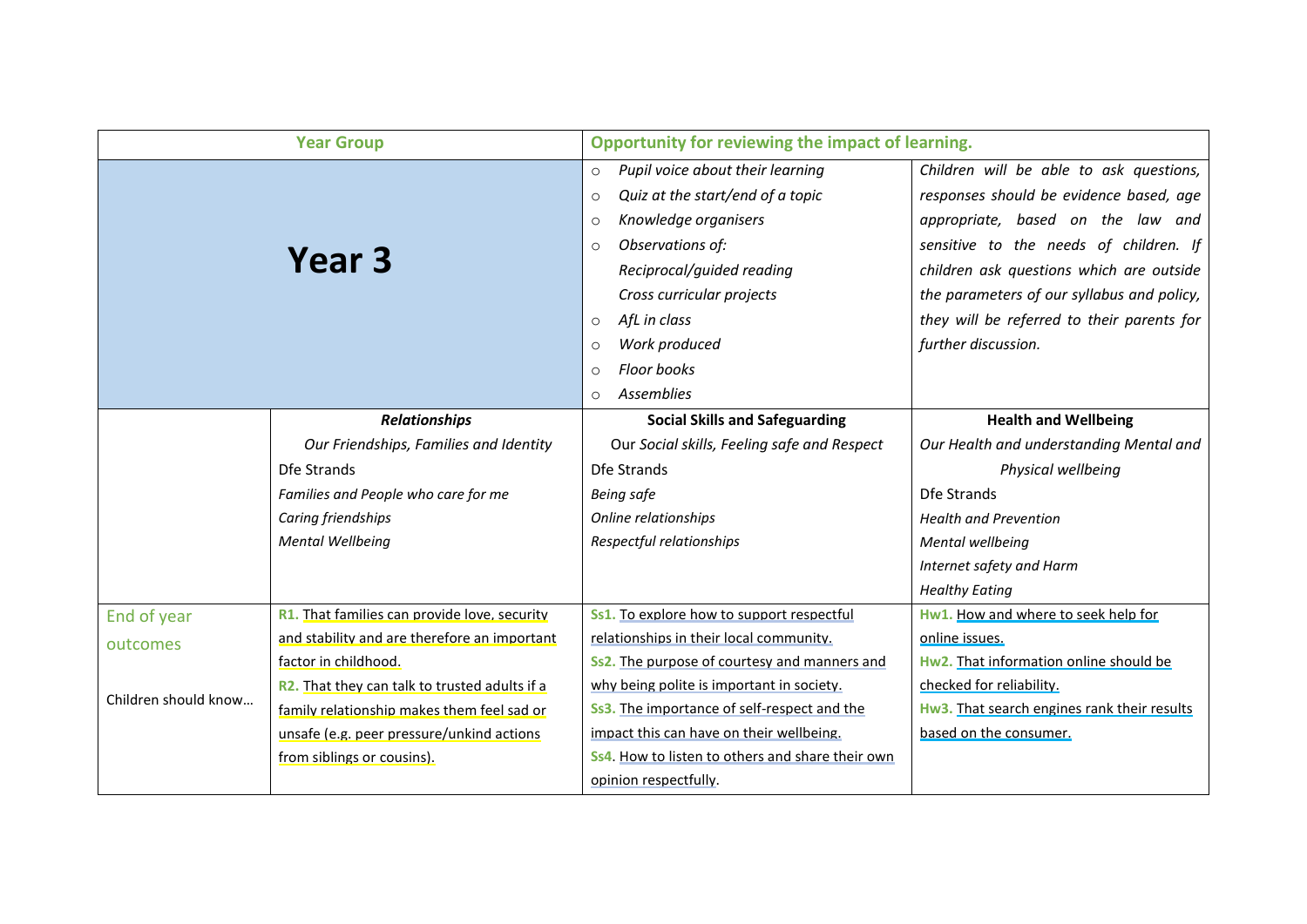|                      | <b>Year Group</b>                             | Opportunity for reviewing the impact of learning. |                                             |
|----------------------|-----------------------------------------------|---------------------------------------------------|---------------------------------------------|
|                      |                                               | Pupil voice about their learning<br>$\circ$       | Children will be able to ask questions,     |
|                      |                                               | Quiz at the start/end of a topic<br>$\circ$       | responses should be evidence based, age     |
|                      |                                               | Knowledge organisers<br>$\circ$                   | appropriate, based on the law and           |
| Year 3               |                                               | Observations of:<br>$\circ$                       | sensitive to the needs of children. If      |
|                      |                                               | Reciprocal/guided reading                         | children ask questions which are outside    |
|                      |                                               | Cross curricular projects                         | the parameters of our syllabus and policy,  |
|                      |                                               | AfL in class<br>$\circ$                           | they will be referred to their parents for  |
|                      |                                               | Work produced<br>$\circ$                          | further discussion.                         |
|                      |                                               | <b>Floor books</b><br>$\Omega$                    |                                             |
|                      |                                               | <b>Assemblies</b><br>$\Omega$                     |                                             |
|                      | <b>Relationships</b>                          | <b>Social Skills and Safeguarding</b>             | <b>Health and Wellbeing</b>                 |
|                      | Our Friendships, Families and Identity        | Our Social skills, Feeling safe and Respect       | Our Health and understanding Mental and     |
|                      | Dfe Strands                                   | Dfe Strands                                       | Physical wellbeing                          |
|                      | Families and People who care for me           | <b>Being safe</b>                                 | Dfe Strands                                 |
|                      | Caring friendships                            | Online relationships                              | <b>Health and Prevention</b>                |
|                      | <b>Mental Wellbeing</b>                       | Respectful relationships                          | Mental wellbeing                            |
|                      |                                               |                                                   | Internet safety and Harm                    |
|                      |                                               |                                                   | <b>Healthy Eating</b>                       |
| End of year          | R1. That families can provide love, security  | Ss1. To explore how to support respectful         | Hw1. How and where to seek help for         |
| outcomes             | and stability and are therefore an important  | relationships in their local community.           | online issues.                              |
|                      | factor in childhood.                          | Ss2. The purpose of courtesy and manners and      | Hw2. That information online should be      |
| Children should know | R2. That they can talk to trusted adults if a | why being polite is important in society.         | checked for reliability.                    |
|                      | family relationship makes them feel sad or    | Ss3. The importance of self-respect and the       | Hw3. That search engines rank their results |
|                      | unsafe (e.g. peer pressure/unkind actions     | impact this can have on their wellbeing.          | based on the consumer.                      |
|                      | from siblings or cousins).                    | Ss4. How to listen to others and share their own  |                                             |
|                      |                                               | opinion respectfully.                             |                                             |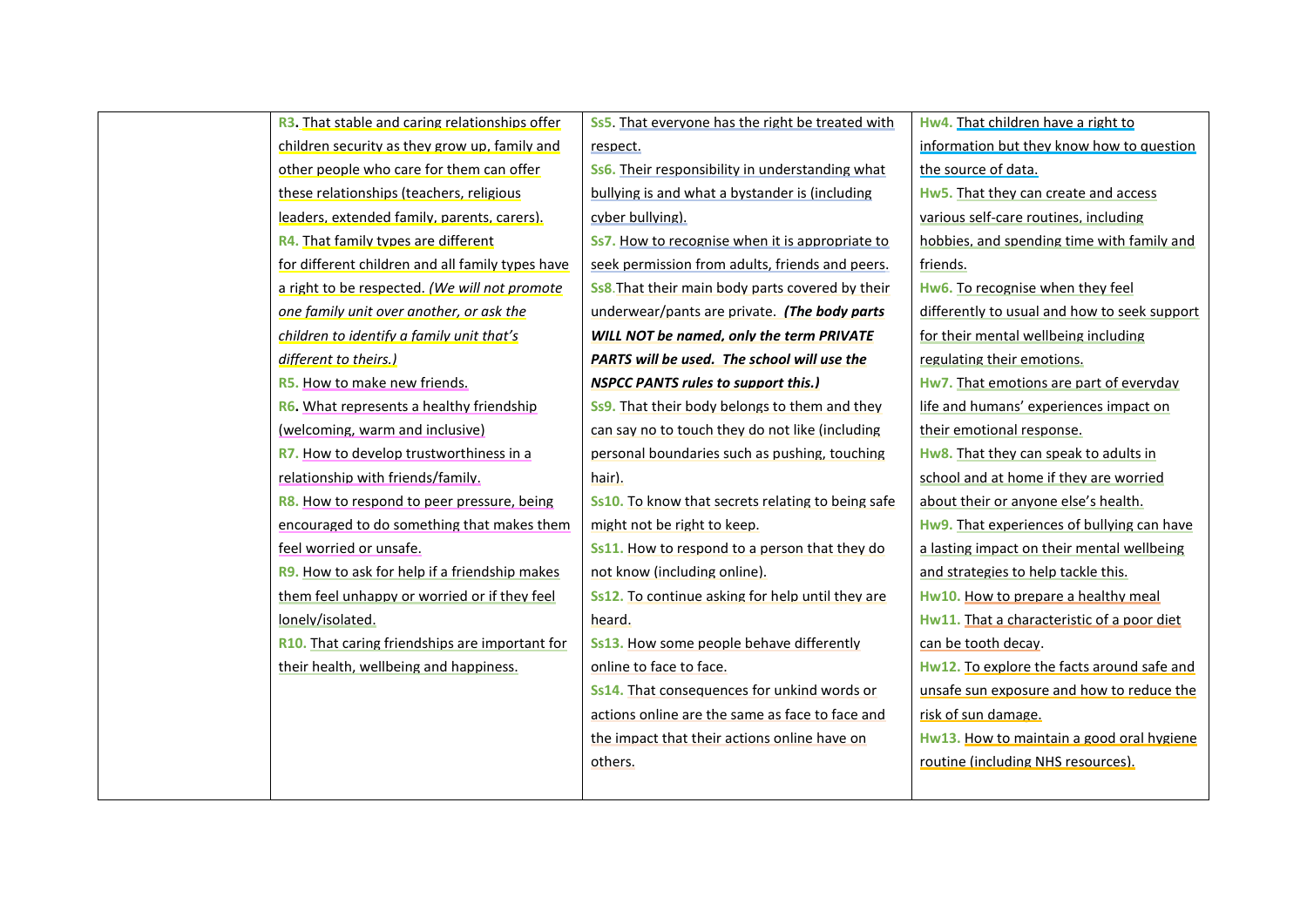| <b>R3.</b> That stable and caring relationships offer | Ss5. That everyone has the right be treated with         | Hw4. That children have a right to           |
|-------------------------------------------------------|----------------------------------------------------------|----------------------------------------------|
| children security as they grow up, family and         | respect.                                                 | information but they know how to question    |
| other people who care for them can offer              | Ss6. Their responsibility in understanding what          | the source of data.                          |
| these relationships (teachers, religious              | bullying is and what a bystander is (including           | Hw5. That they can create and access         |
| leaders, extended family, parents, carers).           | cyber bullying).                                         | various self-care routines, including        |
| R4. That family types are different                   | Ss7. How to recognise when it is appropriate to          | hobbies, and spending time with family and   |
| for different children and all family types have      | seek permission from adults, friends and peers.          | friends.                                     |
| a right to be respected. (We will not promote         | <b>Ss8.</b> That their main body parts covered by their  | Hw6. To recognise when they feel             |
| one family unit over another, or ask the              | underwear/pants are private. (The body parts             | differently to usual and how to seek support |
| children to identify a family unit that's             | WILL NOT be named, only the term PRIVATE                 | for their mental wellbeing including         |
| different to theirs.)                                 | PARTS will be used. The school will use the              | regulating their emotions.                   |
| R5. How to make new friends.                          | <b>NSPCC PANTS rules to support this.)</b>               | Hw7. That emotions are part of everyday      |
| R6. What represents a healthy friendship              | Ss9. That their body belongs to them and they            | life and humans' experiences impact on       |
| (welcoming, warm and inclusive)                       | can say no to touch they do not like (including          | their emotional response.                    |
| R7. How to develop trustworthiness in a               | personal boundaries such as pushing, touching            | Hw8. That they can speak to adults in        |
| relationship with friends/family.                     | hair).                                                   | school and at home if they are worried       |
| R8. How to respond to peer pressure, being            | <b>Ss10.</b> To know that secrets relating to being safe | about their or anyone else's health.         |
| encouraged to do something that makes them            | might not be right to keep.                              | Hw9. That experiences of bullying can have   |
| feel worried or unsafe.                               | Ss11. How to respond to a person that they do            | a lasting impact on their mental wellbeing   |
| <b>R9.</b> How to ask for help if a friendship makes  | not know (including online).                             | and strategies to help tackle this.          |
| them feel unhappy or worried or if they feel          | Ss12. To continue asking for help until they are         | Hw10. How to prepare a healthy meal          |
| lonely/isolated.                                      | heard.                                                   | Hw11. That a characteristic of a poor diet   |
| R10. That caring friendships are important for        | Ss13. How some people behave differently                 | can be tooth decay.                          |
| their health, wellbeing and happiness.                | online to face to face.                                  | Hw12. To explore the facts around safe and   |
|                                                       | Ss14. That consequences for unkind words or              | unsafe sun exposure and how to reduce the    |
|                                                       | actions online are the same as face to face and          | risk of sun damage.                          |
|                                                       | the impact that their actions online have on             | Hw13. How to maintain a good oral hygiene    |
|                                                       | others.                                                  | routine (including NHS resources).           |
|                                                       |                                                          |                                              |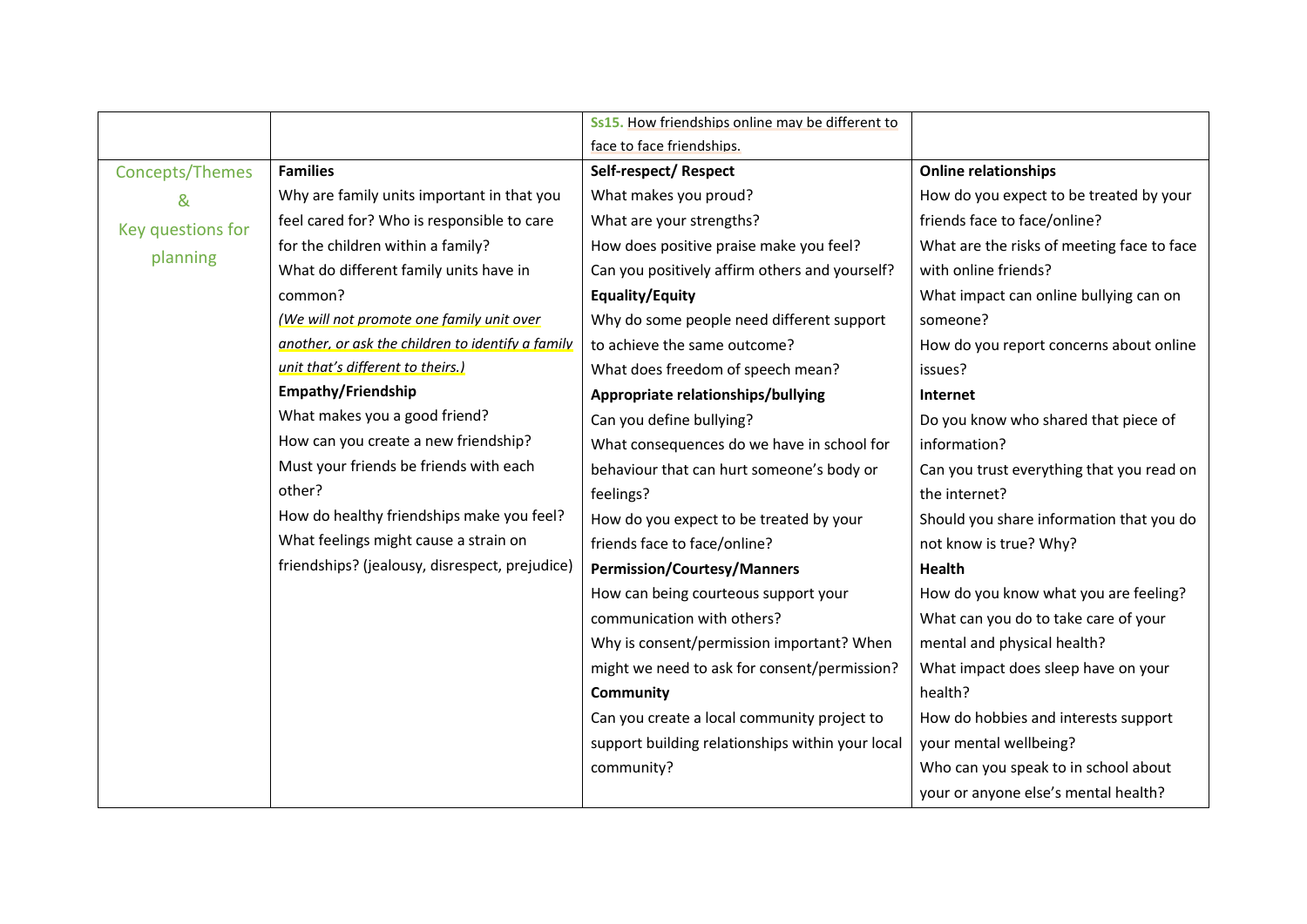|                   |                                                   | Ss15. How friendships online may be different to |                                            |
|-------------------|---------------------------------------------------|--------------------------------------------------|--------------------------------------------|
|                   |                                                   | face to face friendships.                        |                                            |
| Concepts/Themes   | <b>Families</b>                                   | Self-respect/Respect                             | <b>Online relationships</b>                |
| &                 | Why are family units important in that you        | What makes you proud?                            | How do you expect to be treated by your    |
| Key questions for | feel cared for? Who is responsible to care        | What are your strengths?                         | friends face to face/online?               |
| planning          | for the children within a family?                 | How does positive praise make you feel?          | What are the risks of meeting face to face |
|                   | What do different family units have in            | Can you positively affirm others and yourself?   | with online friends?                       |
|                   | common?                                           | <b>Equality/Equity</b>                           | What impact can online bullying can on     |
|                   | (We will not promote one family unit over         | Why do some people need different support        | someone?                                   |
|                   | another, or ask the children to identify a family | to achieve the same outcome?                     | How do you report concerns about online    |
|                   | unit that's different to theirs.)                 | What does freedom of speech mean?                | issues?                                    |
|                   | <b>Empathy/Friendship</b>                         | Appropriate relationships/bullying               | Internet                                   |
|                   | What makes you a good friend?                     | Can you define bullying?                         | Do you know who shared that piece of       |
|                   | How can you create a new friendship?              | What consequences do we have in school for       | information?                               |
|                   | Must your friends be friends with each            | behaviour that can hurt someone's body or        | Can you trust everything that you read on  |
|                   | other?                                            | feelings?                                        | the internet?                              |
|                   | How do healthy friendships make you feel?         | How do you expect to be treated by your          | Should you share information that you do   |
|                   | What feelings might cause a strain on             | friends face to face/online?                     | not know is true? Why?                     |
|                   | friendships? (jealousy, disrespect, prejudice)    | <b>Permission/Courtesy/Manners</b>               | Health                                     |
|                   |                                                   | How can being courteous support your             | How do you know what you are feeling?      |
|                   |                                                   | communication with others?                       | What can you do to take care of your       |
|                   |                                                   | Why is consent/permission important? When        | mental and physical health?                |
|                   |                                                   | might we need to ask for consent/permission?     | What impact does sleep have on your        |
|                   |                                                   | <b>Community</b>                                 | health?                                    |
|                   |                                                   | Can you create a local community project to      | How do hobbies and interests support       |
|                   |                                                   | support building relationships within your local | your mental wellbeing?                     |
|                   |                                                   | community?                                       | Who can you speak to in school about       |
|                   |                                                   |                                                  | your or anyone else's mental health?       |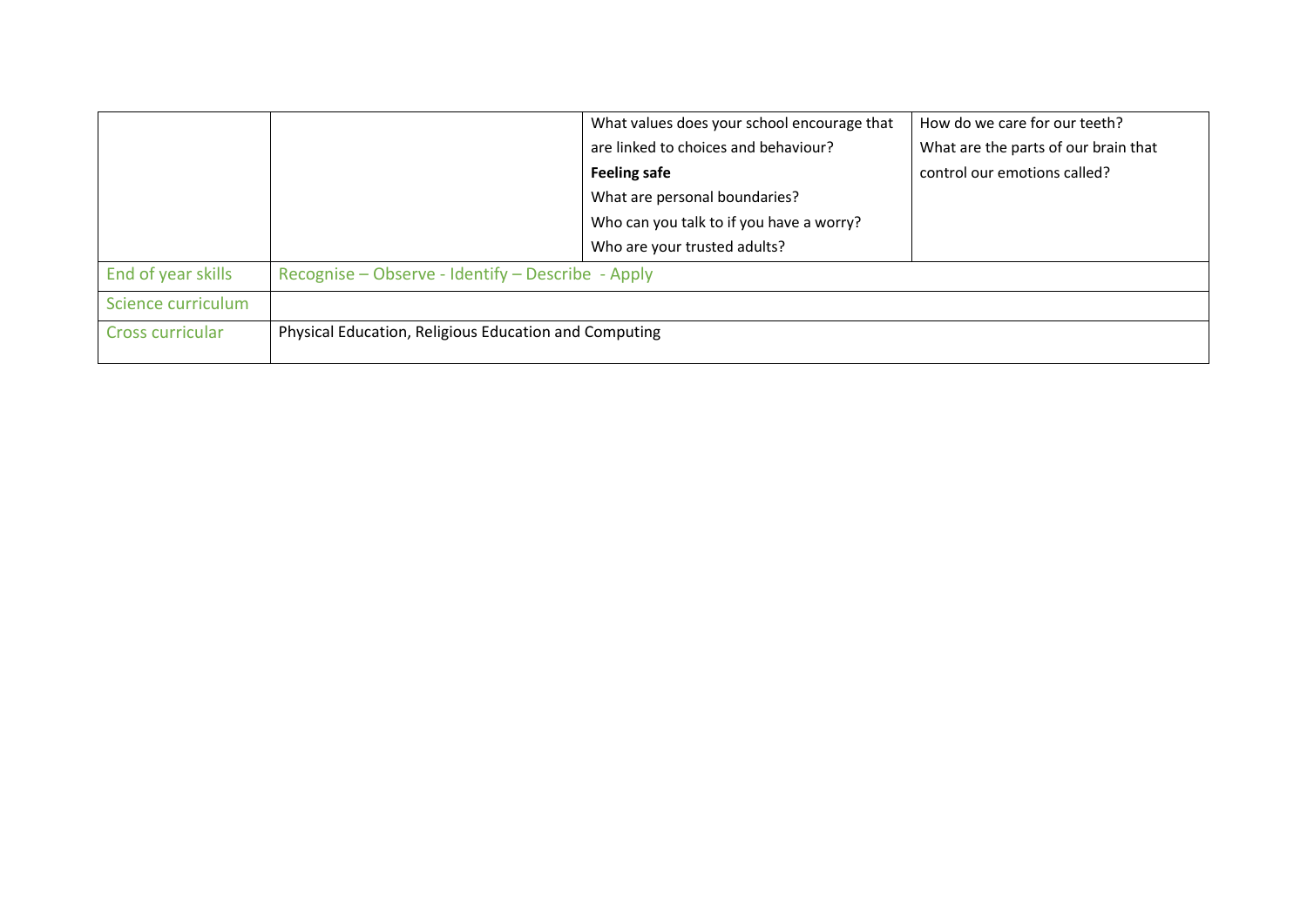|                    |                                                       | What values does your school encourage that | How do we care for our teeth?        |
|--------------------|-------------------------------------------------------|---------------------------------------------|--------------------------------------|
|                    |                                                       | are linked to choices and behaviour?        | What are the parts of our brain that |
|                    |                                                       | <b>Feeling safe</b>                         | control our emotions called?         |
|                    |                                                       | What are personal boundaries?               |                                      |
|                    |                                                       | Who can you talk to if you have a worry?    |                                      |
|                    |                                                       | Who are your trusted adults?                |                                      |
| End of year skills | Recognise – Observe - Identify – Describe - Apply     |                                             |                                      |
| Science curriculum |                                                       |                                             |                                      |
| Cross curricular   | Physical Education, Religious Education and Computing |                                             |                                      |
|                    |                                                       |                                             |                                      |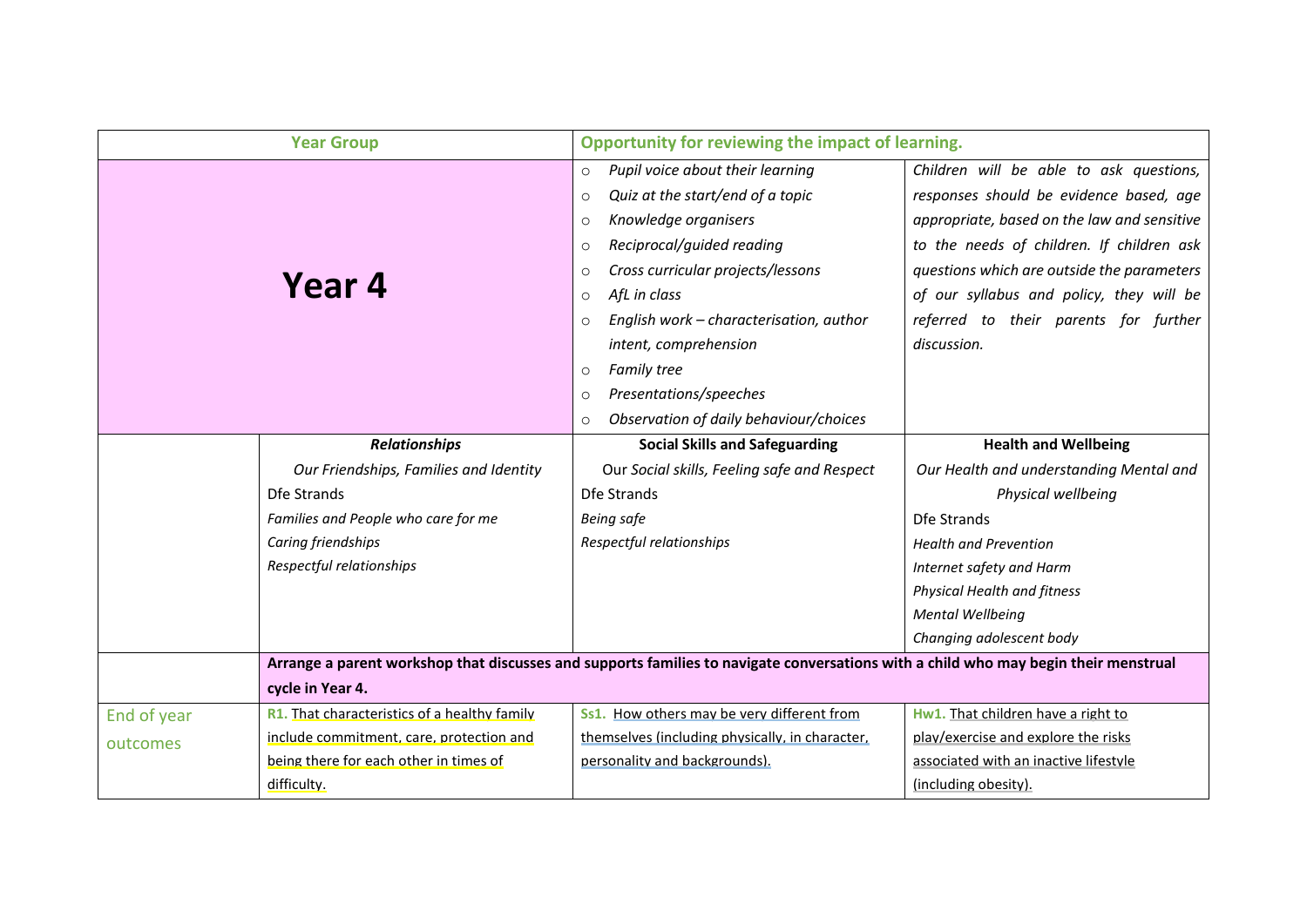|             | <b>Year Group</b>                            | Opportunity for reviewing the impact of learning.                                                                                                                                                                                                                                                                                                                                                                                                           |                                                                                                                                                                                                                                                                                                                                  |
|-------------|----------------------------------------------|-------------------------------------------------------------------------------------------------------------------------------------------------------------------------------------------------------------------------------------------------------------------------------------------------------------------------------------------------------------------------------------------------------------------------------------------------------------|----------------------------------------------------------------------------------------------------------------------------------------------------------------------------------------------------------------------------------------------------------------------------------------------------------------------------------|
|             | Year 4                                       | Pupil voice about their learning<br>$\circ$<br>Quiz at the start/end of a topic<br>$\circ$<br>Knowledge organisers<br>$\circ$<br>Reciprocal/guided reading<br>$\circ$<br>Cross curricular projects/lessons<br>$\circ$<br>AfL in class<br>$\circ$<br>English work - characterisation, author<br>$\circ$<br>intent, comprehension<br><b>Family tree</b><br>$\circ$<br>Presentations/speeches<br>$\circ$<br>Observation of daily behaviour/choices<br>$\Omega$ | Children will be able to ask questions,<br>responses should be evidence based, age<br>appropriate, based on the law and sensitive<br>to the needs of children. If children ask<br>questions which are outside the parameters<br>of our syllabus and policy, they will be<br>referred to their parents for further<br>discussion. |
|             | <b>Relationships</b>                         | <b>Social Skills and Safeguarding</b>                                                                                                                                                                                                                                                                                                                                                                                                                       | <b>Health and Wellbeing</b>                                                                                                                                                                                                                                                                                                      |
|             | Our Friendships, Families and Identity       | Our Social skills, Feeling safe and Respect                                                                                                                                                                                                                                                                                                                                                                                                                 | Our Health and understanding Mental and                                                                                                                                                                                                                                                                                          |
|             | Dfe Strands                                  | Dfe Strands                                                                                                                                                                                                                                                                                                                                                                                                                                                 | Physical wellbeing                                                                                                                                                                                                                                                                                                               |
|             | Families and People who care for me          | <b>Being safe</b>                                                                                                                                                                                                                                                                                                                                                                                                                                           | Dfe Strands                                                                                                                                                                                                                                                                                                                      |
|             | Caring friendships                           | Respectful relationships                                                                                                                                                                                                                                                                                                                                                                                                                                    | <b>Health and Prevention</b>                                                                                                                                                                                                                                                                                                     |
|             | Respectful relationships                     |                                                                                                                                                                                                                                                                                                                                                                                                                                                             | Internet safety and Harm                                                                                                                                                                                                                                                                                                         |
|             |                                              |                                                                                                                                                                                                                                                                                                                                                                                                                                                             | <b>Physical Health and fitness</b>                                                                                                                                                                                                                                                                                               |
|             |                                              |                                                                                                                                                                                                                                                                                                                                                                                                                                                             | <b>Mental Wellbeing</b>                                                                                                                                                                                                                                                                                                          |
|             |                                              |                                                                                                                                                                                                                                                                                                                                                                                                                                                             | Changing adolescent body                                                                                                                                                                                                                                                                                                         |
|             |                                              | Arrange a parent workshop that discusses and supports families to navigate conversations with a child who may begin their menstrual                                                                                                                                                                                                                                                                                                                         |                                                                                                                                                                                                                                                                                                                                  |
|             | cycle in Year 4.                             |                                                                                                                                                                                                                                                                                                                                                                                                                                                             |                                                                                                                                                                                                                                                                                                                                  |
| End of year | R1. That characteristics of a healthy family | Ss1. How others may be very different from                                                                                                                                                                                                                                                                                                                                                                                                                  | Hw1. That children have a right to                                                                                                                                                                                                                                                                                               |
| outcomes    | include commitment, care, protection and     | themselves (including physically, in character,                                                                                                                                                                                                                                                                                                                                                                                                             | play/exercise and explore the risks                                                                                                                                                                                                                                                                                              |
|             | being there for each other in times of       | personality and backgrounds).                                                                                                                                                                                                                                                                                                                                                                                                                               | associated with an inactive lifestyle                                                                                                                                                                                                                                                                                            |
|             | difficulty.                                  |                                                                                                                                                                                                                                                                                                                                                                                                                                                             | (including obesity).                                                                                                                                                                                                                                                                                                             |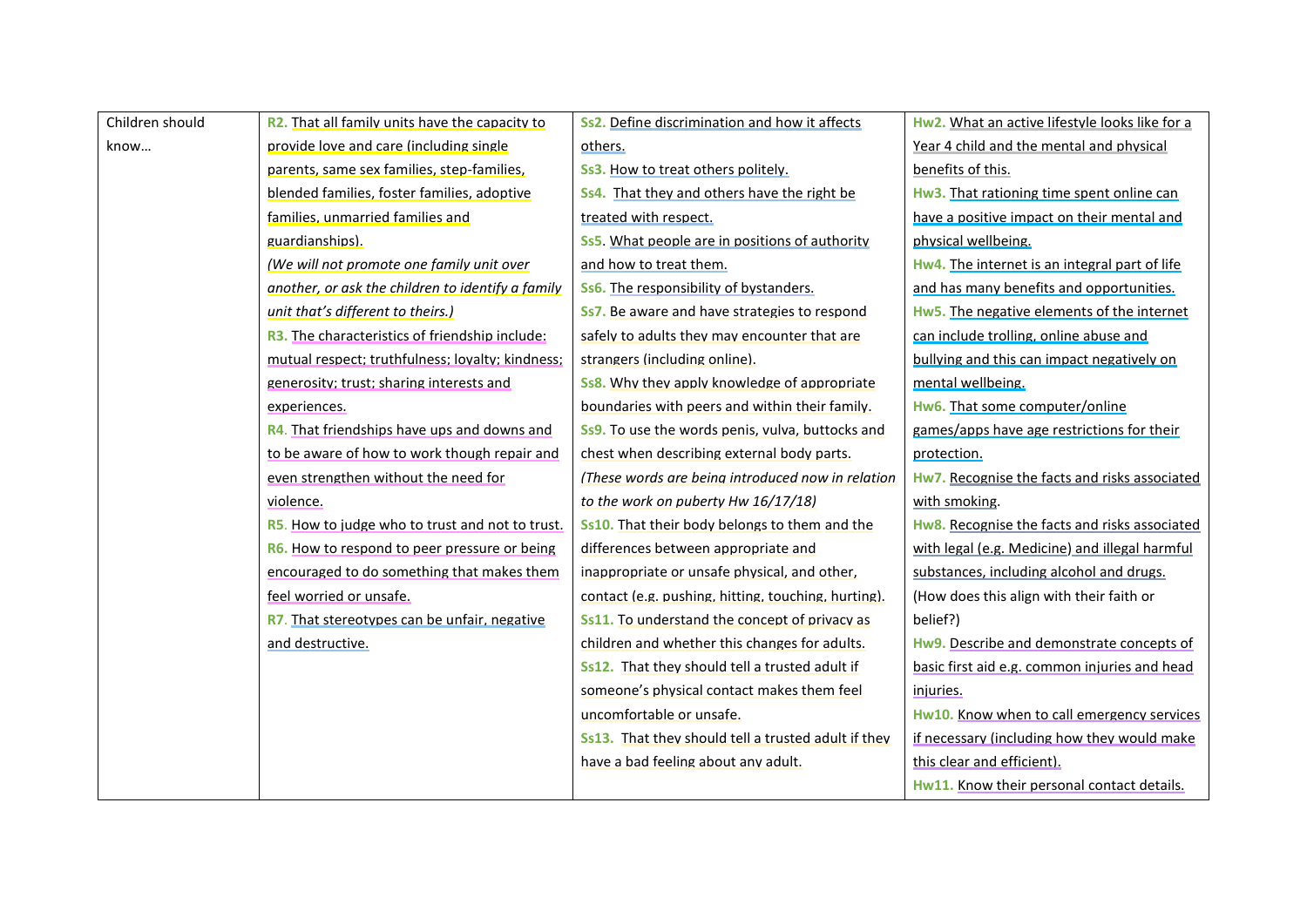| Children should | R2. That all family units have the capacity to          | Ss2. Define discrimination and how it affects              | Hw2. What an active lifestyle looks like for a |
|-----------------|---------------------------------------------------------|------------------------------------------------------------|------------------------------------------------|
| know            | provide love and care (including single                 | others.                                                    | Year 4 child and the mental and physical       |
|                 | parents, same sex families, step-families,              | Ss3. How to treat others politely.                         | benefits of this.                              |
|                 | blended families, foster families, adoptive             | Ss4. That they and others have the right be                | Hw3. That rationing time spent online can      |
|                 | families, unmarried families and                        | treated with respect.                                      | have a positive impact on their mental and     |
|                 | guardianships).                                         | <b>Ss5.</b> What people are in positions of authority      | physical wellbeing.                            |
|                 | (We will not promote one family unit over               | and how to treat them.                                     | Hw4. The internet is an integral part of life  |
|                 | another, or ask the children to identify a family       | <b>Ss6.</b> The responsibility of bystanders.              | and has many benefits and opportunities.       |
|                 | unit that's different to theirs.)                       | Ss7. Be aware and have strategies to respond               | Hw5. The negative elements of the internet     |
|                 | R3. The characteristics of friendship include:          | safely to adults they may encounter that are               | can include trolling, online abuse and         |
|                 | mutual respect; truthfulness; loyalty; kindness;        | strangers (including online).                              | bullying and this can impact negatively on     |
|                 | generosity; trust; sharing interests and                | <b>Ss8.</b> Why they apply knowledge of appropriate        | mental wellbeing.                              |
|                 | experiences.                                            | boundaries with peers and within their family.             | Hw6. That some computer/online                 |
|                 | R4. That friendships have ups and downs and             | Ss9. To use the words penis, vulva, buttocks and           | games/apps have age restrictions for their     |
|                 | to be aware of how to work though repair and            | chest when describing external body parts.                 | protection.                                    |
|                 | even strengthen without the need for                    | (These words are being introduced now in relation          | Hw7. Recognise the facts and risks associated  |
|                 | violence.                                               | to the work on puberty Hw 16/17/18)                        | with smoking.                                  |
|                 | <b>R5</b> . How to judge who to trust and not to trust. | Ss10. That their body belongs to them and the              | Hw8. Recognise the facts and risks associated  |
|                 | <b>R6.</b> How to respond to peer pressure or being     | differences between appropriate and                        | with legal (e.g. Medicine) and illegal harmful |
|                 | encouraged to do something that makes them              | inappropriate or unsafe physical, and other,               | substances, including alcohol and drugs.       |
|                 | feel worried or unsafe.                                 | contact (e.g. pushing, hitting, touching, hurting).        | (How does this align with their faith or       |
|                 | R7. That stereotypes can be unfair, negative            | <b>Ss11.</b> To understand the concept of privacy as       | belief?)                                       |
|                 | and destructive.                                        | children and whether this changes for adults.              | Hw9. Describe and demonstrate concepts of      |
|                 |                                                         | Ss12. That they should tell a trusted adult if             | basic first aid e.g. common injuries and head  |
|                 |                                                         | someone's physical contact makes them feel                 | injuries.                                      |
|                 |                                                         | uncomfortable or unsafe.                                   | Hw10. Know when to call emergency services     |
|                 |                                                         | <b>Ss13.</b> That they should tell a trusted adult if they | if necessary (including how they would make    |
|                 |                                                         | have a bad feeling about any adult.                        | this clear and efficient).                     |
|                 |                                                         |                                                            | Hw11. Know their personal contact details.     |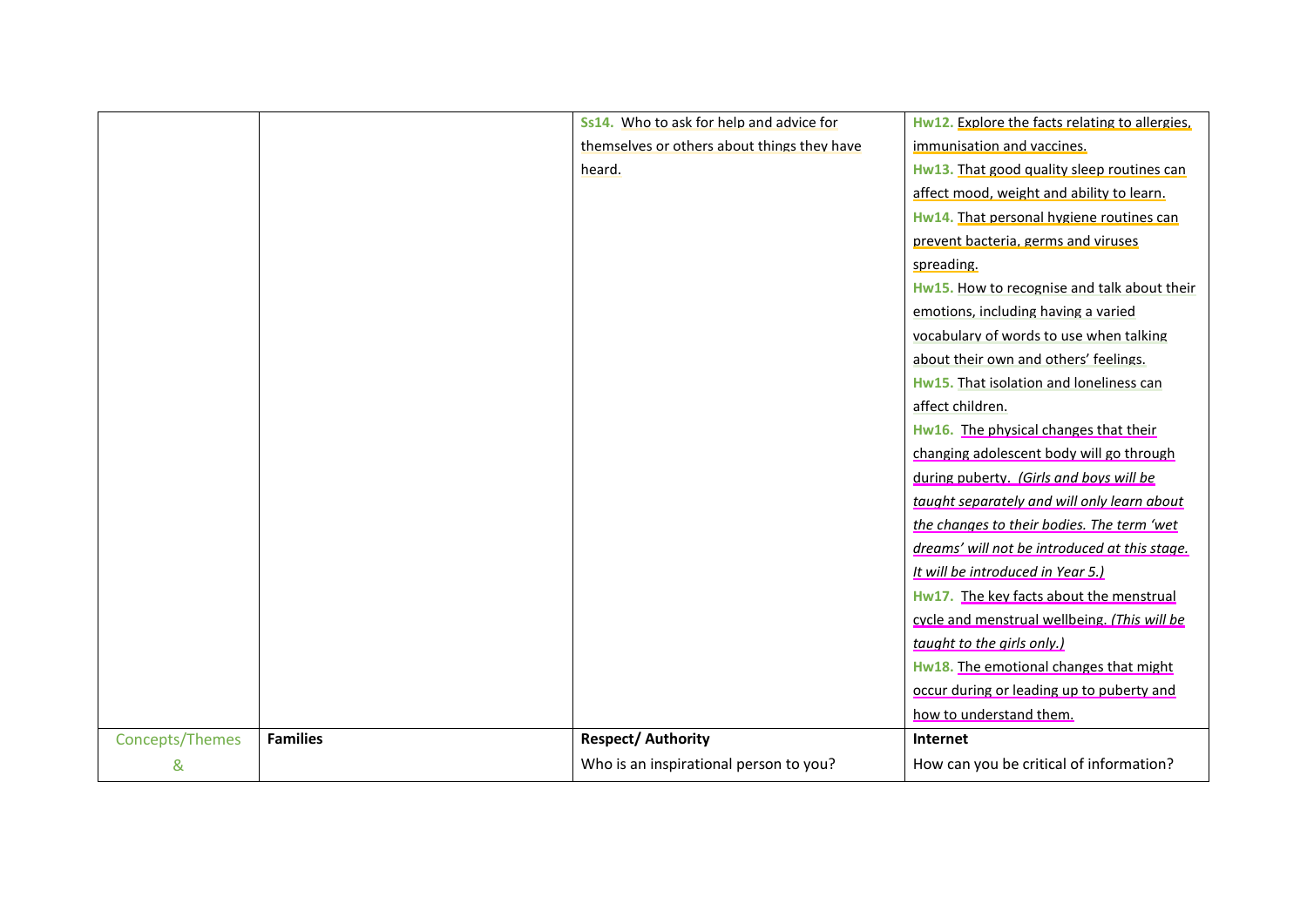|                 |                 | Ss14. Who to ask for help and advice for    | Hw12. Explore the facts relating to allergies. |
|-----------------|-----------------|---------------------------------------------|------------------------------------------------|
|                 |                 | themselves or others about things they have | immunisation and vaccines.                     |
|                 |                 | heard.                                      | Hw13. That good quality sleep routines can     |
|                 |                 |                                             | affect mood, weight and ability to learn.      |
|                 |                 |                                             | Hw14. That personal hygiene routines can       |
|                 |                 |                                             | prevent bacteria, germs and viruses            |
|                 |                 |                                             | spreading.                                     |
|                 |                 |                                             | Hw15. How to recognise and talk about their    |
|                 |                 |                                             | emotions, including having a varied            |
|                 |                 |                                             | vocabulary of words to use when talking        |
|                 |                 |                                             | about their own and others' feelings.          |
|                 |                 |                                             | Hw15. That isolation and loneliness can        |
|                 |                 |                                             | affect children.                               |
|                 |                 |                                             | Hw16. The physical changes that their          |
|                 |                 |                                             | changing adolescent body will go through       |
|                 |                 |                                             | during puberty. (Girls and boys will be        |
|                 |                 |                                             | taught separately and will only learn about    |
|                 |                 |                                             | the changes to their bodies. The term 'wet     |
|                 |                 |                                             | dreams' will not be introduced at this stage.  |
|                 |                 |                                             | It will be introduced in Year 5.)              |
|                 |                 |                                             | Hw17. The key facts about the menstrual        |
|                 |                 |                                             | cycle and menstrual wellbeing. (This will be   |
|                 |                 |                                             | taught to the girls only.                      |
|                 |                 |                                             | Hw18. The emotional changes that might         |
|                 |                 |                                             | occur during or leading up to puberty and      |
|                 |                 |                                             | how to understand them.                        |
| Concepts/Themes | <b>Families</b> | <b>Respect/Authority</b>                    | Internet                                       |
| &               |                 | Who is an inspirational person to you?      | How can you be critical of information?        |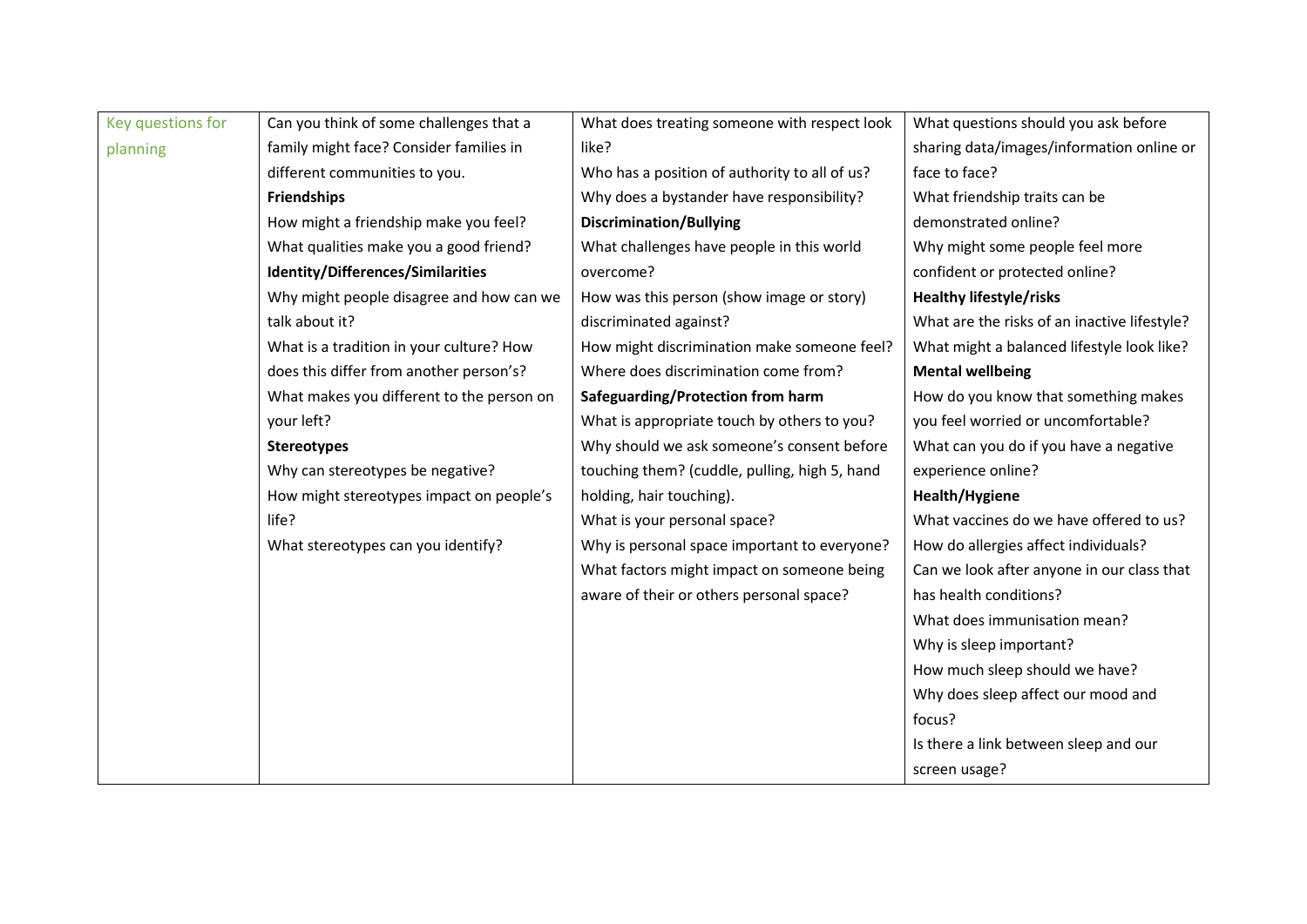| Key questions for | Can you think of some challenges that a   | What does treating someone with respect look  | What questions should you ask before         |
|-------------------|-------------------------------------------|-----------------------------------------------|----------------------------------------------|
| planning          | family might face? Consider families in   | like?                                         | sharing data/images/information online or    |
|                   | different communities to you.             | Who has a position of authority to all of us? | face to face?                                |
|                   | <b>Friendships</b>                        | Why does a bystander have responsibility?     | What friendship traits can be                |
|                   | How might a friendship make you feel?     | <b>Discrimination/Bullying</b>                | demonstrated online?                         |
|                   | What qualities make you a good friend?    | What challenges have people in this world     | Why might some people feel more              |
|                   | Identity/Differences/Similarities         | overcome?                                     | confident or protected online?               |
|                   | Why might people disagree and how can we  | How was this person (show image or story)     | <b>Healthy lifestyle/risks</b>               |
|                   | talk about it?                            | discriminated against?                        | What are the risks of an inactive lifestyle? |
|                   | What is a tradition in your culture? How  | How might discrimination make someone feel?   | What might a balanced lifestyle look like?   |
|                   | does this differ from another person's?   | Where does discrimination come from?          | <b>Mental wellbeing</b>                      |
|                   | What makes you different to the person on | Safeguarding/Protection from harm             | How do you know that something makes         |
|                   | your left?                                | What is appropriate touch by others to you?   | you feel worried or uncomfortable?           |
|                   | <b>Stereotypes</b>                        | Why should we ask someone's consent before    | What can you do if you have a negative       |
|                   | Why can stereotypes be negative?          | touching them? (cuddle, pulling, high 5, hand | experience online?                           |
|                   | How might stereotypes impact on people's  | holding, hair touching).                      | Health/Hygiene                               |
|                   | life?                                     | What is your personal space?                  | What vaccines do we have offered to us?      |
|                   | What stereotypes can you identify?        | Why is personal space important to everyone?  | How do allergies affect individuals?         |
|                   |                                           | What factors might impact on someone being    | Can we look after anyone in our class that   |
|                   |                                           | aware of their or others personal space?      | has health conditions?                       |
|                   |                                           |                                               | What does immunisation mean?                 |
|                   |                                           |                                               | Why is sleep important?                      |
|                   |                                           |                                               | How much sleep should we have?               |
|                   |                                           |                                               | Why does sleep affect our mood and           |
|                   |                                           |                                               | focus?                                       |
|                   |                                           |                                               | Is there a link between sleep and our        |
|                   |                                           |                                               | screen usage?                                |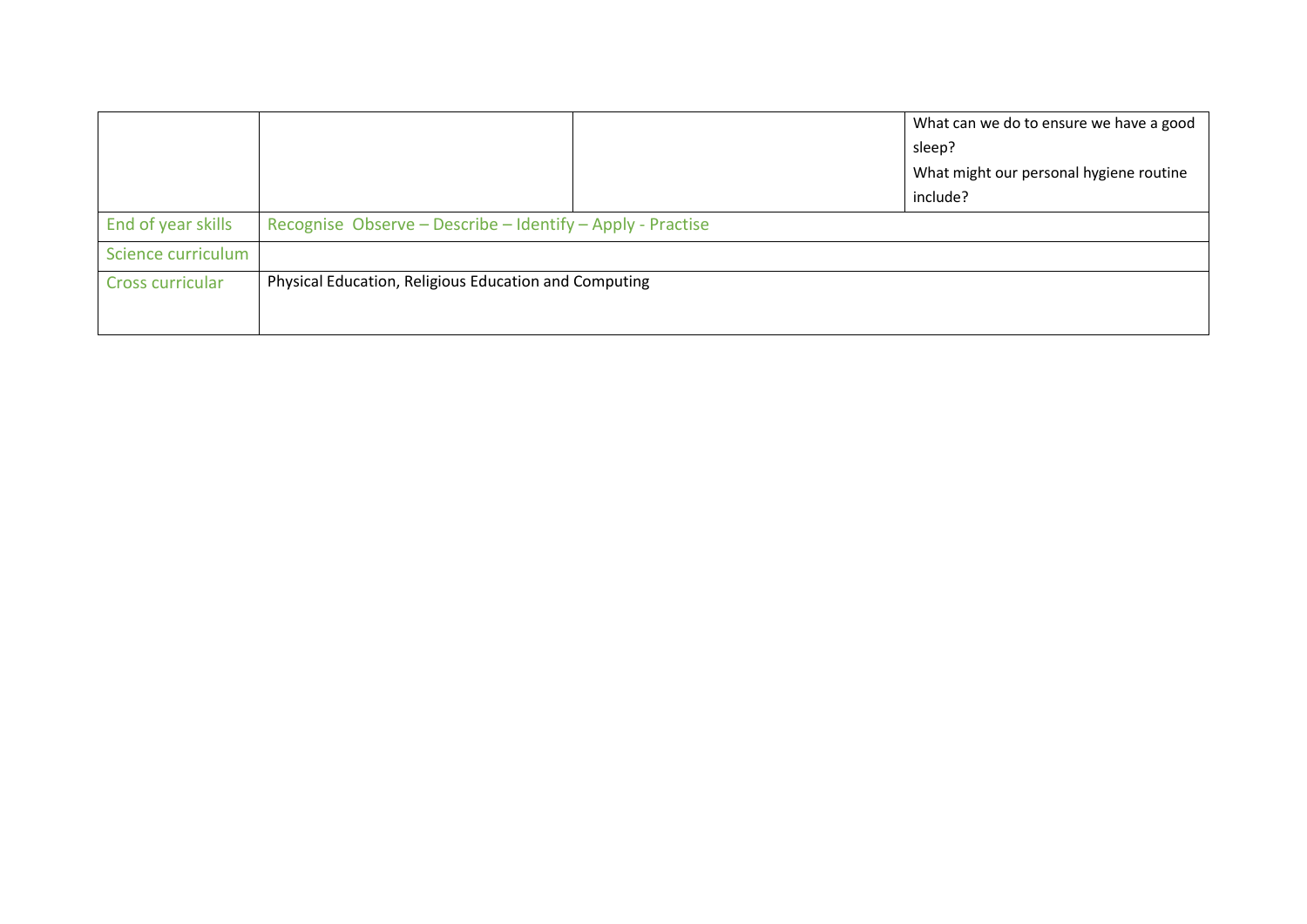|                    |                                                            | What can we do to ensure we have a good |
|--------------------|------------------------------------------------------------|-----------------------------------------|
|                    |                                                            | sleep?                                  |
|                    |                                                            | What might our personal hygiene routine |
|                    |                                                            | include?                                |
| End of year skills | Recognise Observe - Describe - Identify - Apply - Practise |                                         |
| Science curriculum |                                                            |                                         |
| Cross curricular   | Physical Education, Religious Education and Computing      |                                         |
|                    |                                                            |                                         |
|                    |                                                            |                                         |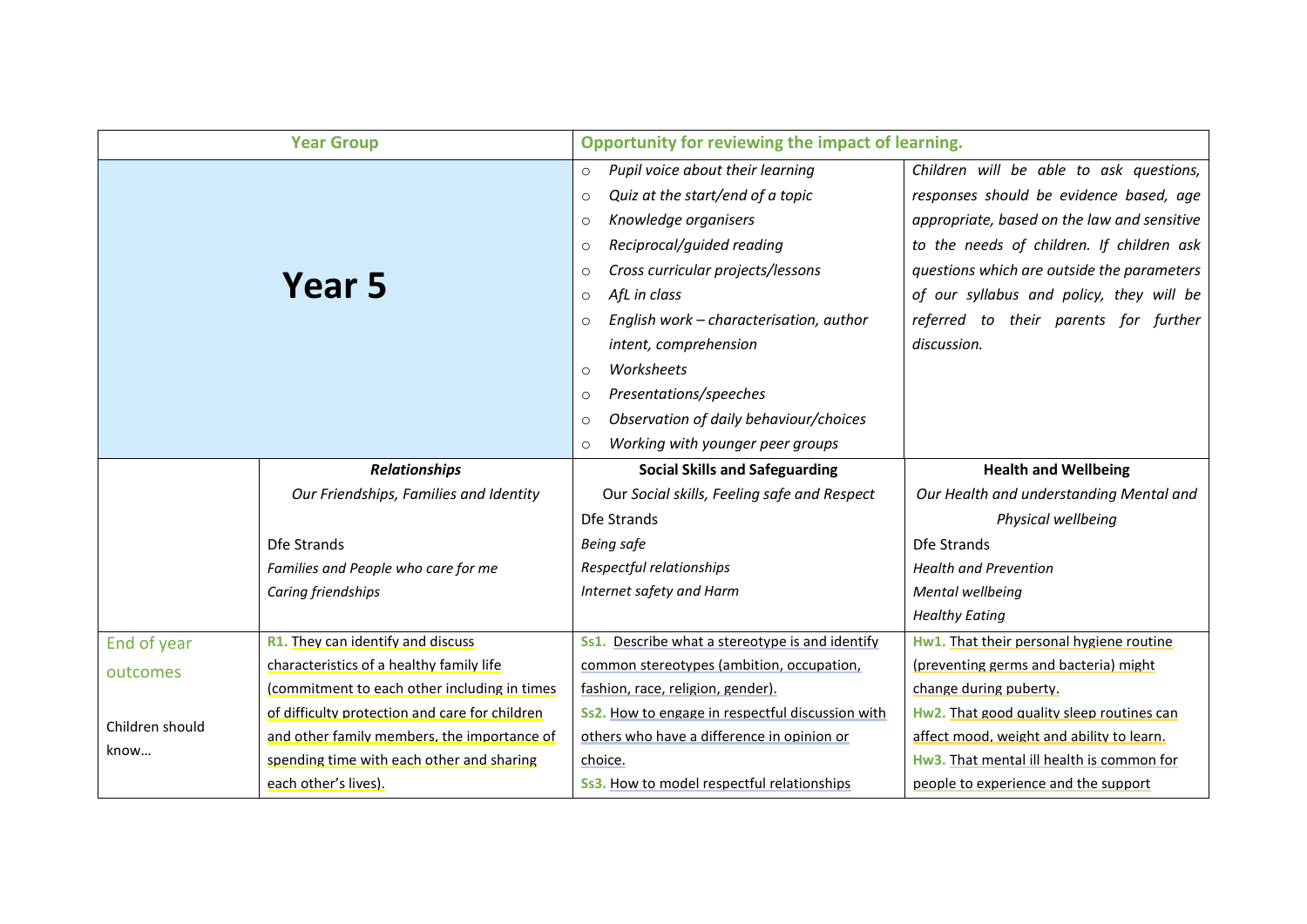| <b>Year Group</b> |                                                | Opportunity for reviewing the impact of learning.                                                                                                                                                                                                                                                                                                                                                                                                                                                 |                                                                                                                                                                                                                                                                                                                                  |  |
|-------------------|------------------------------------------------|---------------------------------------------------------------------------------------------------------------------------------------------------------------------------------------------------------------------------------------------------------------------------------------------------------------------------------------------------------------------------------------------------------------------------------------------------------------------------------------------------|----------------------------------------------------------------------------------------------------------------------------------------------------------------------------------------------------------------------------------------------------------------------------------------------------------------------------------|--|
|                   | Year 5                                         | Pupil voice about their learning<br>$\circ$<br>Quiz at the start/end of a topic<br>$\circ$<br>Knowledge organisers<br>$\circ$<br>Reciprocal/guided reading<br>$\circ$<br>Cross curricular projects/lessons<br>$\circ$<br>AfL in class<br>$\circ$<br>English work - characterisation, author<br>$\circ$<br>intent, comprehension<br>Worksheets<br>$\circ$<br>Presentations/speeches<br>$\circ$<br>Observation of daily behaviour/choices<br>$\circ$<br>Working with younger peer groups<br>$\circ$ | Children will be able to ask questions,<br>responses should be evidence based, age<br>appropriate, based on the law and sensitive<br>to the needs of children. If children ask<br>questions which are outside the parameters<br>of our syllabus and policy, they will be<br>referred to their parents for further<br>discussion. |  |
|                   | <b>Relationships</b>                           | <b>Social Skills and Safeguarding</b>                                                                                                                                                                                                                                                                                                                                                                                                                                                             | <b>Health and Wellbeing</b>                                                                                                                                                                                                                                                                                                      |  |
|                   | Our Friendships, Families and Identity         | Our Social skills, Feeling safe and Respect                                                                                                                                                                                                                                                                                                                                                                                                                                                       | Our Health and understanding Mental and                                                                                                                                                                                                                                                                                          |  |
|                   |                                                | Dfe Strands                                                                                                                                                                                                                                                                                                                                                                                                                                                                                       | Physical wellbeing                                                                                                                                                                                                                                                                                                               |  |
|                   |                                                |                                                                                                                                                                                                                                                                                                                                                                                                                                                                                                   |                                                                                                                                                                                                                                                                                                                                  |  |
|                   | Dfe Strands                                    | <b>Being safe</b>                                                                                                                                                                                                                                                                                                                                                                                                                                                                                 | Dfe Strands                                                                                                                                                                                                                                                                                                                      |  |
|                   | Families and People who care for me            | Respectful relationships                                                                                                                                                                                                                                                                                                                                                                                                                                                                          | <b>Health and Prevention</b>                                                                                                                                                                                                                                                                                                     |  |
|                   | Caring friendships                             | Internet safety and Harm                                                                                                                                                                                                                                                                                                                                                                                                                                                                          | Mental wellbeing                                                                                                                                                                                                                                                                                                                 |  |
|                   |                                                |                                                                                                                                                                                                                                                                                                                                                                                                                                                                                                   | <b>Healthy Eating</b>                                                                                                                                                                                                                                                                                                            |  |
| End of year       | R1. They can identify and discuss              | Ss1. Describe what a stereotype is and identify                                                                                                                                                                                                                                                                                                                                                                                                                                                   | Hw1. That their personal hygiene routine                                                                                                                                                                                                                                                                                         |  |
| outcomes          | characteristics of a healthy family life       | common stereotypes (ambition, occupation,                                                                                                                                                                                                                                                                                                                                                                                                                                                         | (preventing germs and bacteria) might                                                                                                                                                                                                                                                                                            |  |
|                   | (commitment to each other including in times   | fashion, race, religion, gender).                                                                                                                                                                                                                                                                                                                                                                                                                                                                 | change during puberty.                                                                                                                                                                                                                                                                                                           |  |
|                   | of difficulty protection and care for children | Ss2. How to engage in respectful discussion with                                                                                                                                                                                                                                                                                                                                                                                                                                                  | Hw2. That good quality sleep routines can                                                                                                                                                                                                                                                                                        |  |
| Children should   | and other family members, the importance of    | others who have a difference in opinion or                                                                                                                                                                                                                                                                                                                                                                                                                                                        | affect mood, weight and ability to learn.                                                                                                                                                                                                                                                                                        |  |
| know              | spending time with each other and sharing      | choice.                                                                                                                                                                                                                                                                                                                                                                                                                                                                                           | Hw3. That mental ill health is common for                                                                                                                                                                                                                                                                                        |  |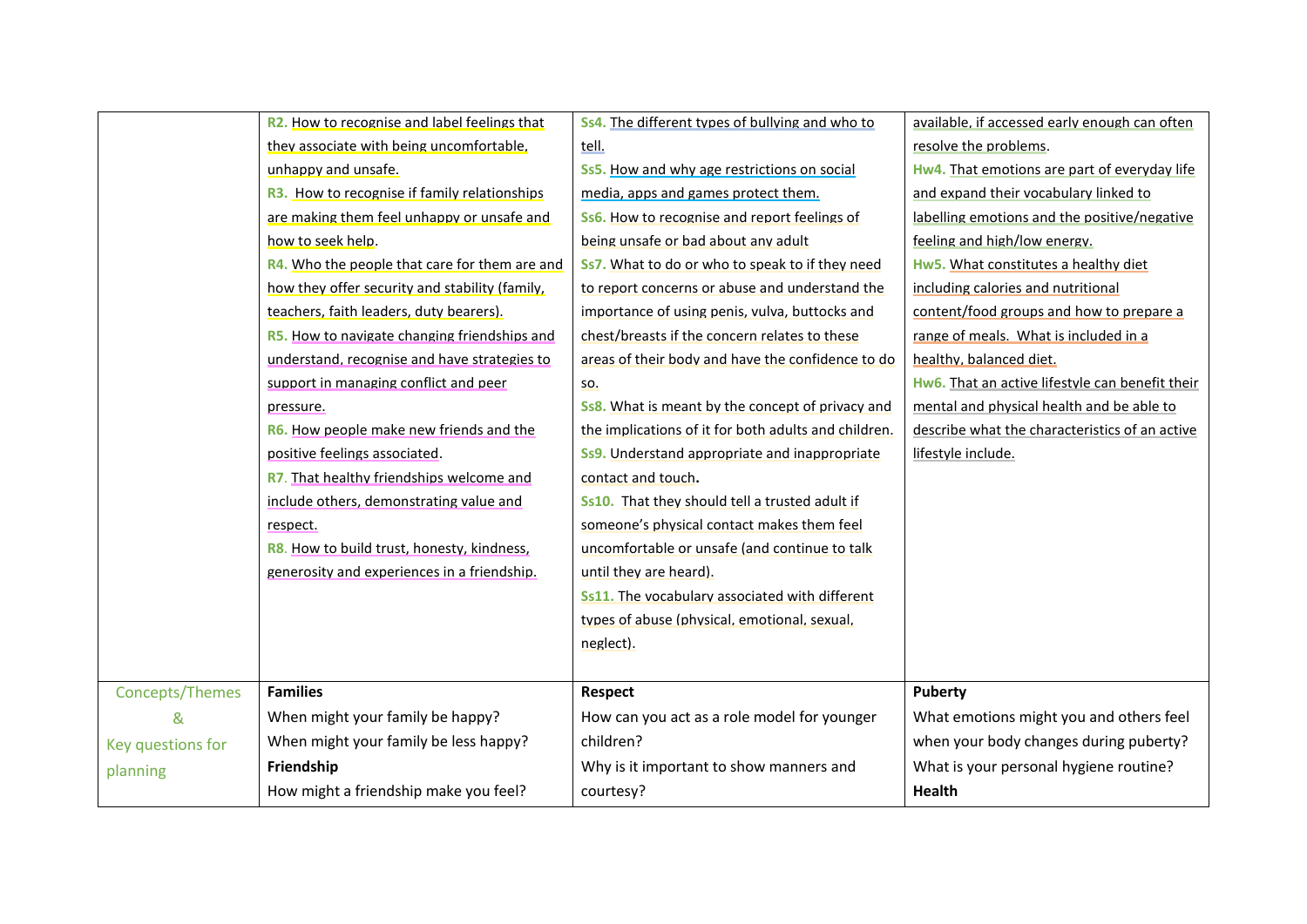|                   | R2. How to recognise and label feelings that        | Ss4. The different types of bullying and who to      | available, if accessed early enough can often   |
|-------------------|-----------------------------------------------------|------------------------------------------------------|-------------------------------------------------|
|                   | they associate with being uncomfortable.            | tell.                                                | resolve the problems.                           |
|                   | unhappy and unsafe.                                 | Ss5. How and why age restrictions on social          | Hw4. That emotions are part of everyday life    |
|                   | <b>R3.</b> How to recognise if family relationships | media, apps and games protect them.                  | and expand their vocabulary linked to           |
|                   | are making them feel unhappy or unsafe and          | Ss6. How to recognise and report feelings of         | labelling emotions and the positive/negative    |
|                   | how to seek help.                                   | being unsafe or bad about any adult                  | feeling and high/low energy.                    |
|                   | R4. Who the people that care for them are and       | Ss7. What to do or who to speak to if they need      | Hw5. What constitutes a healthy diet            |
|                   | how they offer security and stability (family,      | to report concerns or abuse and understand the       | including calories and nutritional              |
|                   | teachers, faith leaders, duty bearers).             | importance of using penis, vulva, buttocks and       | content/food groups and how to prepare a        |
|                   | <b>R5.</b> How to navigate changing friendships and | chest/breasts if the concern relates to these        | range of meals. What is included in a           |
|                   | understand, recognise and have strategies to        | areas of their body and have the confidence to do    | healthy, balanced diet.                         |
|                   | support in managing conflict and peer               | SO.                                                  | Hw6. That an active lifestyle can benefit their |
|                   | pressure.                                           | Ss8. What is meant by the concept of privacy and     | mental and physical health and be able to       |
|                   | R6. How people make new friends and the             | the implications of it for both adults and children. | describe what the characteristics of an active  |
|                   | positive feelings associated.                       | <b>Ss9.</b> Understand appropriate and inappropriate | lifestyle include.                              |
|                   | R7. That healthy friendships welcome and            | contact and touch.                                   |                                                 |
|                   | include others, demonstrating value and             | Ss10. That they should tell a trusted adult if       |                                                 |
|                   | respect.                                            | someone's physical contact makes them feel           |                                                 |
|                   | R8. How to build trust, honesty, kindness,          | uncomfortable or unsafe (and continue to talk        |                                                 |
|                   | generosity and experiences in a friendship.         | until they are heard).                               |                                                 |
|                   |                                                     | Ss11. The vocabulary associated with different       |                                                 |
|                   |                                                     | types of abuse (physical, emotional, sexual,         |                                                 |
|                   |                                                     | neglect).                                            |                                                 |
|                   |                                                     |                                                      |                                                 |
| Concepts/Themes   | <b>Families</b>                                     | <b>Respect</b>                                       | Puberty                                         |
| &                 | When might your family be happy?                    | How can you act as a role model for younger          | What emotions might you and others feel         |
| Key questions for | When might your family be less happy?               | children?                                            | when your body changes during puberty?          |
| planning          | Friendship                                          | Why is it important to show manners and              | What is your personal hygiene routine?          |
|                   | How might a friendship make you feel?               | courtesy?                                            | <b>Health</b>                                   |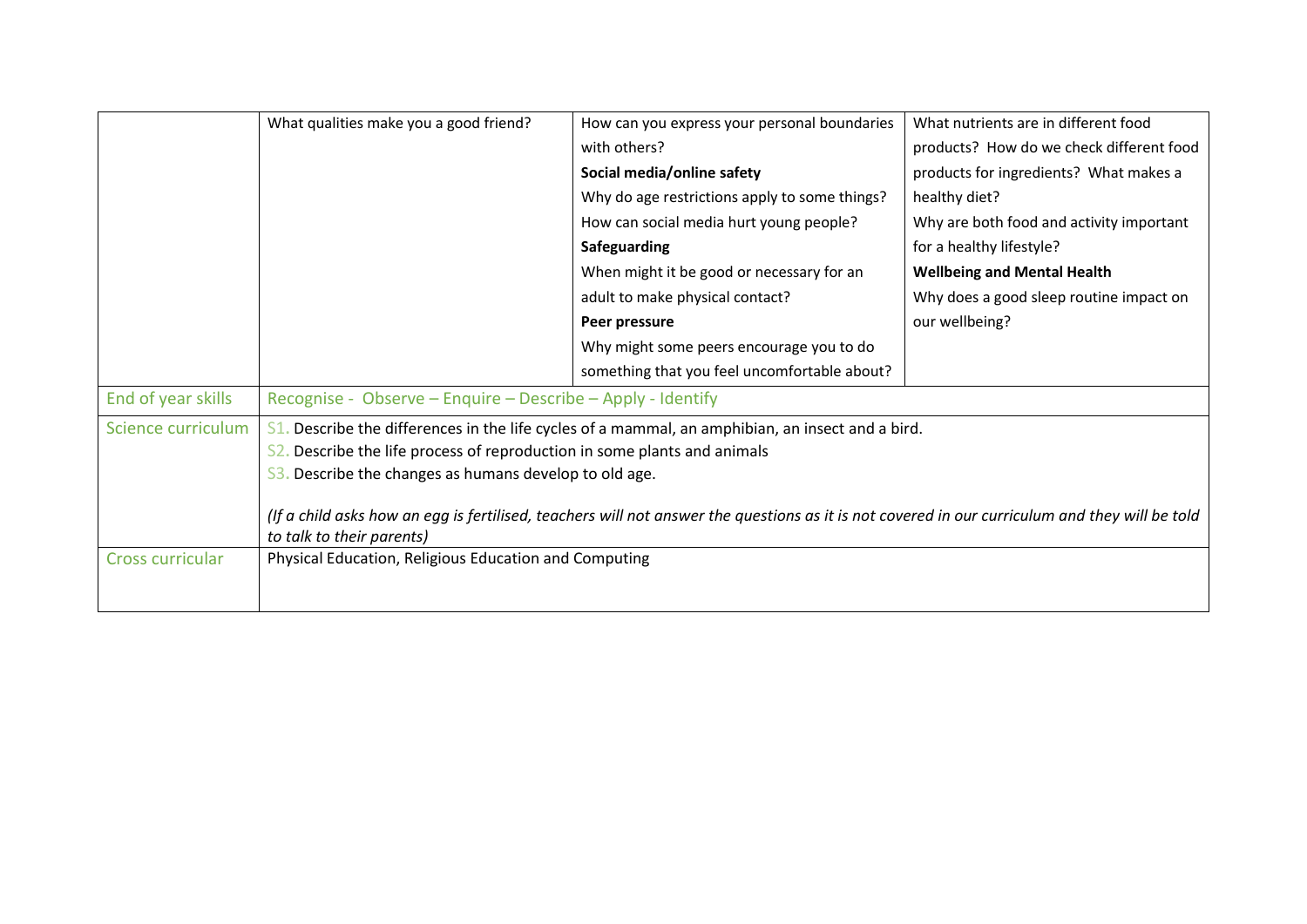|                    | What qualities make you a good friend?                                   | How can you express your personal boundaries                                                                                                   | What nutrients are in different food     |
|--------------------|--------------------------------------------------------------------------|------------------------------------------------------------------------------------------------------------------------------------------------|------------------------------------------|
|                    |                                                                          | with others?                                                                                                                                   | products? How do we check different food |
|                    |                                                                          | Social media/online safety                                                                                                                     | products for ingredients? What makes a   |
|                    |                                                                          | Why do age restrictions apply to some things?                                                                                                  | healthy diet?                            |
|                    |                                                                          | How can social media hurt young people?                                                                                                        | Why are both food and activity important |
|                    |                                                                          | Safeguarding                                                                                                                                   | for a healthy lifestyle?                 |
|                    |                                                                          | When might it be good or necessary for an                                                                                                      | <b>Wellbeing and Mental Health</b>       |
|                    |                                                                          | adult to make physical contact?                                                                                                                | Why does a good sleep routine impact on  |
|                    |                                                                          | Peer pressure                                                                                                                                  | our wellbeing?                           |
|                    |                                                                          | Why might some peers encourage you to do                                                                                                       |                                          |
|                    |                                                                          | something that you feel uncomfortable about?                                                                                                   |                                          |
| End of year skills | Recognise - Observe – Enquire – Describe – Apply - Identify              |                                                                                                                                                |                                          |
| Science curriculum |                                                                          | $S1$ . Describe the differences in the life cycles of a mammal, an amphibian, an insect and a bird.                                            |                                          |
|                    | S2. Describe the life process of reproduction in some plants and animals |                                                                                                                                                |                                          |
|                    | 53. Describe the changes as humans develop to old age.                   |                                                                                                                                                |                                          |
|                    |                                                                          | (If a child asks how an egg is fertilised, teachers will not answer the questions as it is not covered in our curriculum and they will be told |                                          |
|                    | to talk to their parents)                                                |                                                                                                                                                |                                          |
| Cross curricular   | Physical Education, Religious Education and Computing                    |                                                                                                                                                |                                          |
|                    |                                                                          |                                                                                                                                                |                                          |
|                    |                                                                          |                                                                                                                                                |                                          |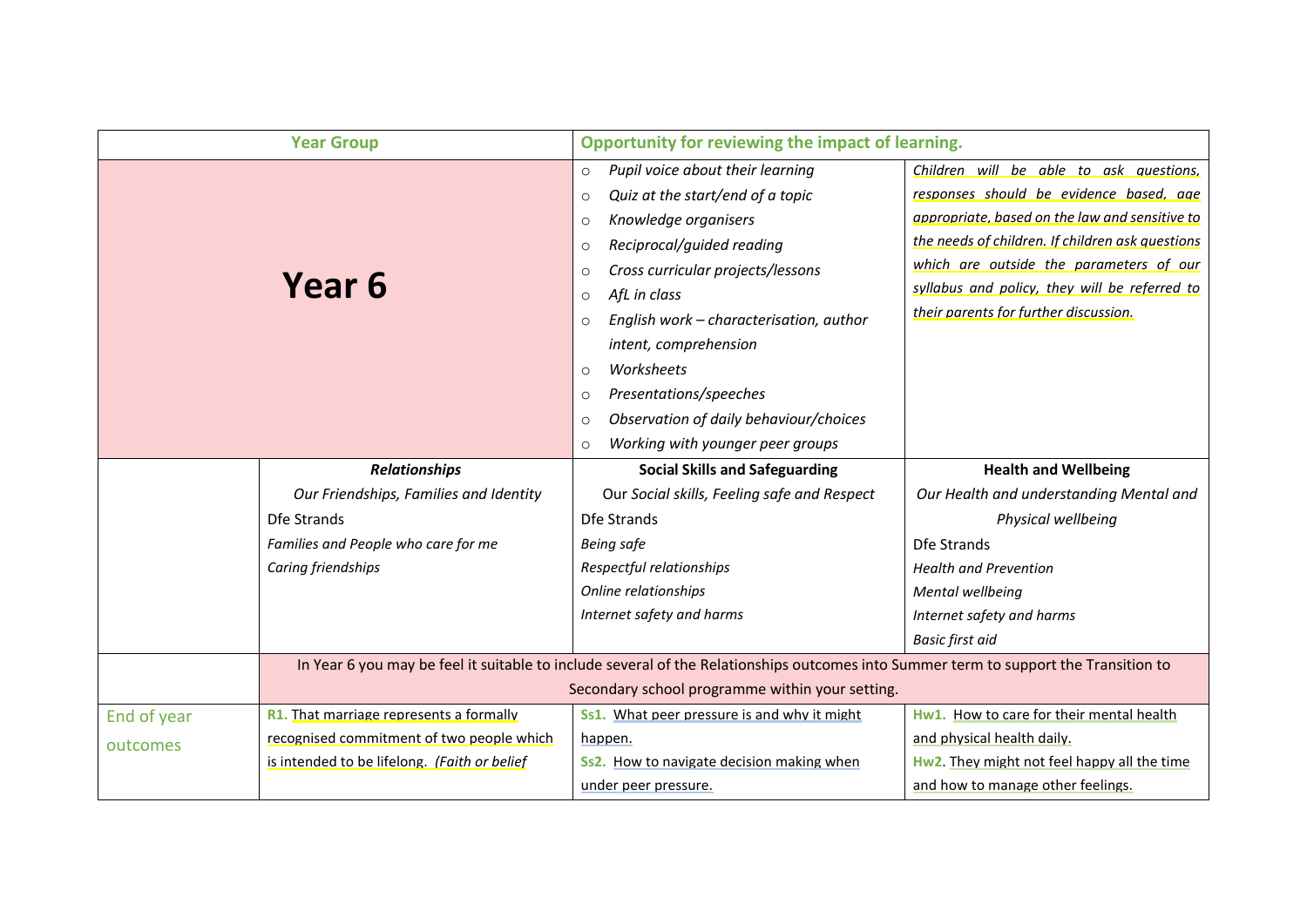| <b>Year Group</b> |                                              | Opportunity for reviewing the impact of learning.                                                                                                                                                                                                                                                                                                                                                                                                                                                 |                                                                                                                                                                                                                                                                                                                               |
|-------------------|----------------------------------------------|---------------------------------------------------------------------------------------------------------------------------------------------------------------------------------------------------------------------------------------------------------------------------------------------------------------------------------------------------------------------------------------------------------------------------------------------------------------------------------------------------|-------------------------------------------------------------------------------------------------------------------------------------------------------------------------------------------------------------------------------------------------------------------------------------------------------------------------------|
|                   | Year 6                                       | Pupil voice about their learning<br>$\circ$<br>Quiz at the start/end of a topic<br>$\circ$<br>Knowledge organisers<br>$\circ$<br>Reciprocal/guided reading<br>$\circ$<br>Cross curricular projects/lessons<br>$\circ$<br>AfL in class<br>$\circ$<br>English work - characterisation, author<br>$\circ$<br>intent, comprehension<br>Worksheets<br>$\circ$<br>Presentations/speeches<br>$\circ$<br>Observation of daily behaviour/choices<br>$\circ$<br>Working with younger peer groups<br>$\circ$ | Children will be able to ask questions,<br>responses should be evidence based, age<br>appropriate, based on the law and sensitive to<br>the needs of children. If children ask questions<br>which are outside the parameters of our<br>syllabus and policy, they will be referred to<br>their parents for further discussion. |
|                   | <b>Relationships</b>                         | <b>Social Skills and Safeguarding</b>                                                                                                                                                                                                                                                                                                                                                                                                                                                             | <b>Health and Wellbeing</b>                                                                                                                                                                                                                                                                                                   |
|                   | Our Friendships, Families and Identity       | Our Social skills, Feeling safe and Respect                                                                                                                                                                                                                                                                                                                                                                                                                                                       | Our Health and understanding Mental and                                                                                                                                                                                                                                                                                       |
|                   | Dfe Strands                                  | Dfe Strands                                                                                                                                                                                                                                                                                                                                                                                                                                                                                       | Physical wellbeing                                                                                                                                                                                                                                                                                                            |
|                   | Families and People who care for me          | <b>Being safe</b>                                                                                                                                                                                                                                                                                                                                                                                                                                                                                 | Dfe Strands                                                                                                                                                                                                                                                                                                                   |
|                   | Caring friendships                           | Respectful relationships                                                                                                                                                                                                                                                                                                                                                                                                                                                                          | <b>Health and Prevention</b>                                                                                                                                                                                                                                                                                                  |
|                   |                                              | Online relationships                                                                                                                                                                                                                                                                                                                                                                                                                                                                              | Mental wellbeing                                                                                                                                                                                                                                                                                                              |
|                   |                                              | Internet safety and harms                                                                                                                                                                                                                                                                                                                                                                                                                                                                         | Internet safety and harms                                                                                                                                                                                                                                                                                                     |
|                   |                                              |                                                                                                                                                                                                                                                                                                                                                                                                                                                                                                   | <b>Basic first aid</b>                                                                                                                                                                                                                                                                                                        |
|                   |                                              | In Year 6 you may be feel it suitable to include several of the Relationships outcomes into Summer term to support the Transition to                                                                                                                                                                                                                                                                                                                                                              |                                                                                                                                                                                                                                                                                                                               |
|                   |                                              | Secondary school programme within your setting.                                                                                                                                                                                                                                                                                                                                                                                                                                                   |                                                                                                                                                                                                                                                                                                                               |
| End of year       | R1. That marriage represents a formally      | Ss1. What peer pressure is and why it might                                                                                                                                                                                                                                                                                                                                                                                                                                                       | Hw1. How to care for their mental health                                                                                                                                                                                                                                                                                      |
| outcomes          | recognised commitment of two people which    | happen.                                                                                                                                                                                                                                                                                                                                                                                                                                                                                           | and physical health daily.                                                                                                                                                                                                                                                                                                    |
|                   | is intended to be lifelong. (Faith or belief | Ss2. How to navigate decision making when                                                                                                                                                                                                                                                                                                                                                                                                                                                         | Hw2. They might not feel happy all the time                                                                                                                                                                                                                                                                                   |
|                   |                                              |                                                                                                                                                                                                                                                                                                                                                                                                                                                                                                   |                                                                                                                                                                                                                                                                                                                               |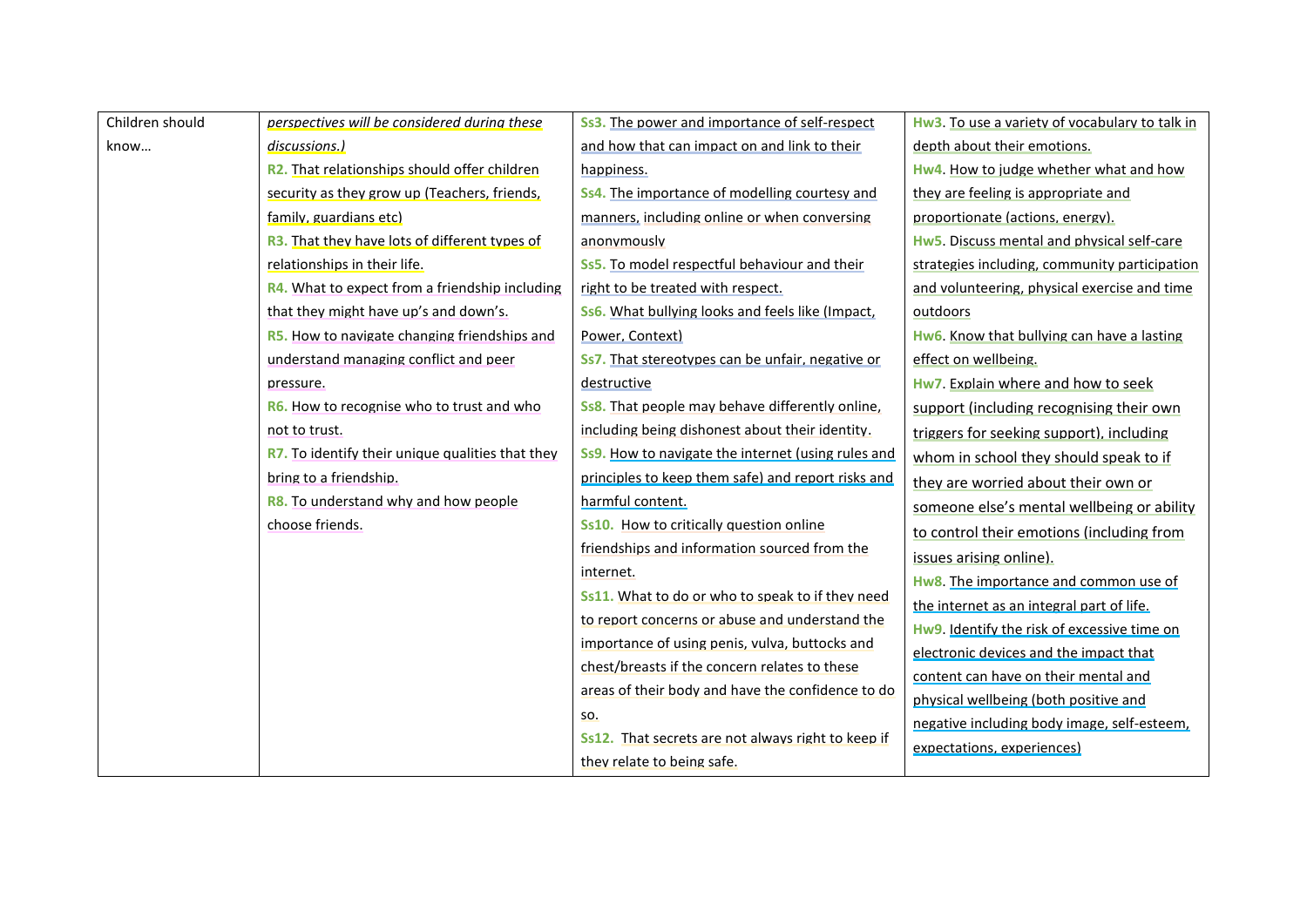| Children should | perspectives will be considered during these            | <b>Ss3.</b> The power and importance of self-respect    | Hw3. To use a variety of vocabulary to talk in |
|-----------------|---------------------------------------------------------|---------------------------------------------------------|------------------------------------------------|
| know            | discussions.)                                           | and how that can impact on and link to their            | depth about their emotions.                    |
|                 | <b>R2.</b> That relationships should offer children     | happiness.                                              | Hw4. How to judge whether what and how         |
|                 | security as they grow up (Teachers, friends,            | Ss4. The importance of modelling courtesy and           | they are feeling is appropriate and            |
|                 | family, guardians etc)                                  | manners, including online or when conversing            | proportionate (actions, energy).               |
|                 | <b>R3.</b> That they have lots of different types of    | anonymously                                             | Hw5. Discuss mental and physical self-care     |
|                 | relationships in their life.                            | <b>Ss5.</b> To model respectful behaviour and their     | strategies including, community participation  |
|                 | R4. What to expect from a friendship including          | right to be treated with respect.                       | and volunteering, physical exercise and time   |
|                 | that they might have up's and down's.                   | <b>Ss6.</b> What bullying looks and feels like (Impact, | outdoors                                       |
|                 | <b>R5.</b> How to navigate changing friendships and     | Power, Context)                                         | Hw6. Know that bullying can have a lasting     |
|                 | understand managing conflict and peer                   | Ss7. That stereotypes can be unfair, negative or        | effect on wellbeing.                           |
|                 | pressure.                                               | destructive                                             | Hw7. Explain where and how to seek             |
|                 | <b>R6.</b> How to recognise who to trust and who        | <b>Ss8.</b> That people may behave differently online,  | support (including recognising their own       |
|                 | not to trust.                                           | including being dishonest about their identity.         | triggers for seeking support), including       |
|                 | <b>R7.</b> To identify their unique qualities that they | Ss9. How to navigate the internet (using rules and      | whom in school they should speak to if         |
|                 | bring to a friendship.                                  | principles to keep them safe) and report risks and      | they are worried about their own or            |
|                 | <b>R8.</b> To understand why and how people             | harmful content.                                        | someone else's mental wellbeing or ability     |
|                 | choose friends.                                         | Ss10. How to critically question online                 | to control their emotions (including from      |
|                 |                                                         | friendships and information sourced from the            | issues arising online).                        |
|                 |                                                         | internet.                                               | Hw8. The importance and common use of          |
|                 |                                                         | Ss11. What to do or who to speak to if they need        | the internet as an integral part of life.      |
|                 |                                                         | to report concerns or abuse and understand the          | Hw9. Identify the risk of excessive time on    |
|                 |                                                         | importance of using penis, vulva, buttocks and          | electronic devices and the impact that         |
|                 |                                                         | chest/breasts if the concern relates to these           | content can have on their mental and           |
|                 |                                                         | areas of their body and have the confidence to do       | physical wellbeing (both positive and          |
|                 |                                                         | SO.                                                     | negative including body image, self-esteem,    |
|                 |                                                         | Ss12. That secrets are not always right to keep if      | expectations, experiences)                     |
|                 |                                                         | they relate to being safe.                              |                                                |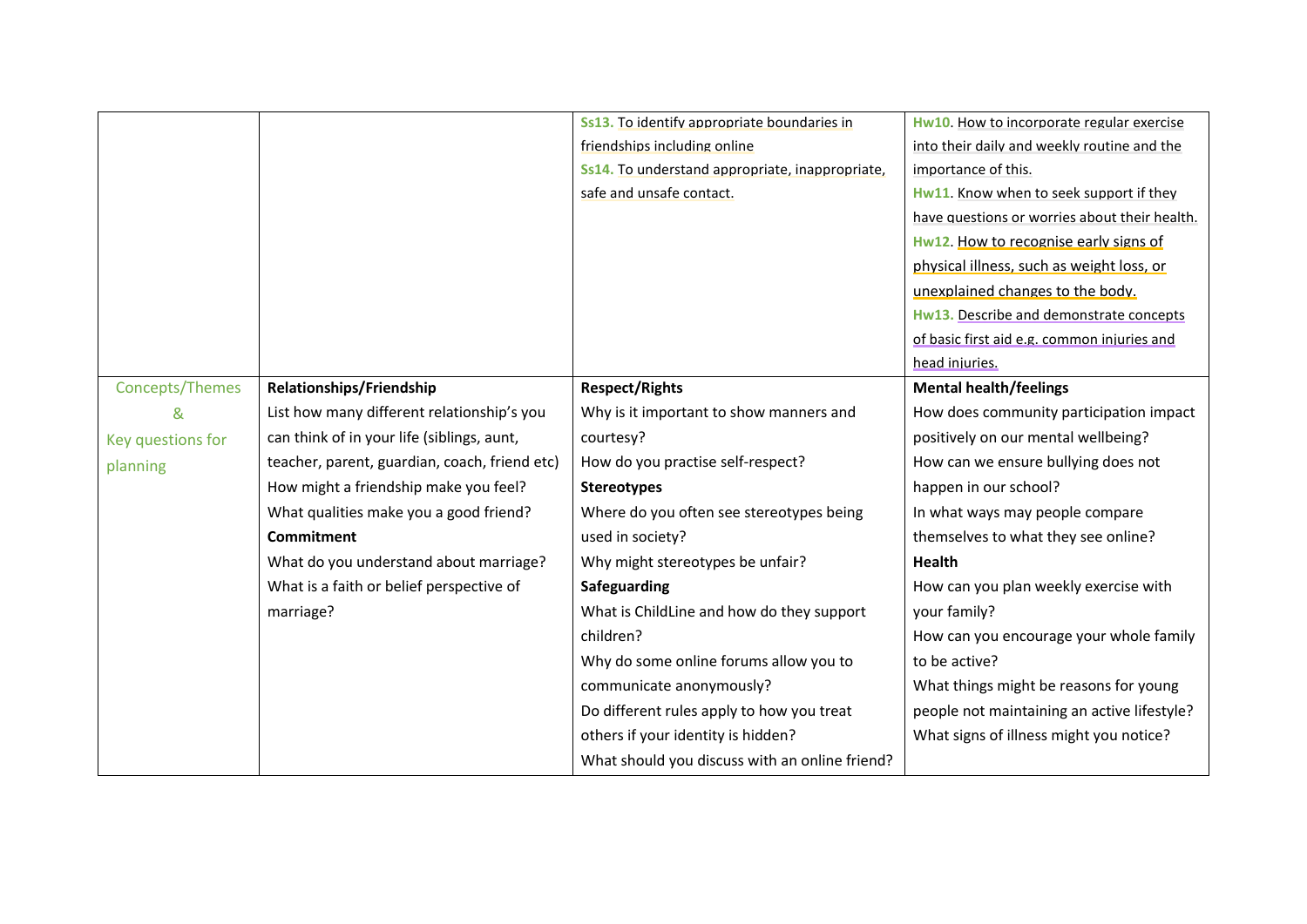|                   |                                               | Ss13. To identify appropriate boundaries in     | Hw10. How to incorporate regular exercise     |
|-------------------|-----------------------------------------------|-------------------------------------------------|-----------------------------------------------|
|                   |                                               | friendships including online                    | into their daily and weekly routine and the   |
|                   |                                               | Ss14. To understand appropriate, inappropriate, | importance of this.                           |
|                   |                                               | safe and unsafe contact.                        | Hw11. Know when to seek support if they       |
|                   |                                               |                                                 | have questions or worries about their health. |
|                   |                                               |                                                 | Hw12. How to recognise early signs of         |
|                   |                                               |                                                 | physical illness, such as weight loss, or     |
|                   |                                               |                                                 | unexplained changes to the body.              |
|                   |                                               |                                                 | Hw13. Describe and demonstrate concepts       |
|                   |                                               |                                                 | of basic first aid e.g. common injuries and   |
|                   |                                               |                                                 | head injuries.                                |
| Concepts/Themes   | Relationships/Friendship                      | <b>Respect/Rights</b>                           | <b>Mental health/feelings</b>                 |
| &                 | List how many different relationship's you    | Why is it important to show manners and         | How does community participation impact       |
| Key questions for | can think of in your life (siblings, aunt,    | courtesy?                                       | positively on our mental wellbeing?           |
| planning          | teacher, parent, guardian, coach, friend etc) | How do you practise self-respect?               | How can we ensure bullying does not           |
|                   | How might a friendship make you feel?         | <b>Stereotypes</b>                              | happen in our school?                         |
|                   | What qualities make you a good friend?        | Where do you often see stereotypes being        | In what ways may people compare               |
|                   | <b>Commitment</b>                             | used in society?                                | themselves to what they see online?           |
|                   | What do you understand about marriage?        | Why might stereotypes be unfair?                | <b>Health</b>                                 |
|                   | What is a faith or belief perspective of      | Safeguarding                                    | How can you plan weekly exercise with         |
|                   | marriage?                                     | What is ChildLine and how do they support       | your family?                                  |
|                   |                                               | children?                                       | How can you encourage your whole family       |
|                   |                                               | Why do some online forums allow you to          | to be active?                                 |
|                   |                                               | communicate anonymously?                        | What things might be reasons for young        |
|                   |                                               | Do different rules apply to how you treat       | people not maintaining an active lifestyle?   |
|                   |                                               | others if your identity is hidden?              | What signs of illness might you notice?       |
|                   |                                               | What should you discuss with an online friend?  |                                               |